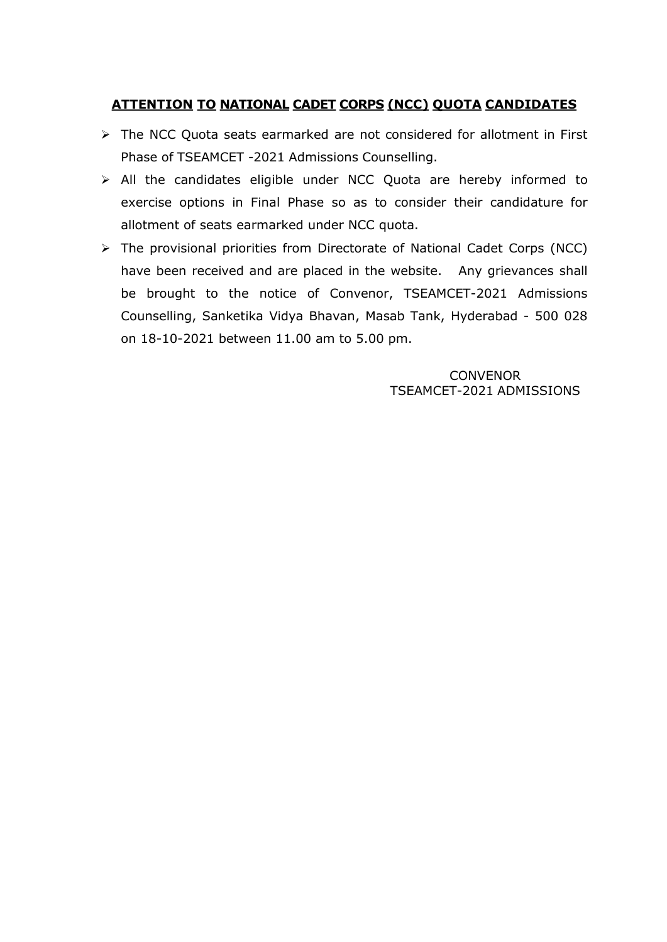## ATTENTION TO NATIONAL CADET CORPS (NCC) QUOTA CANDIDATES

- > The NCC Quota seats earmarked are not considered for allotment in First Phase of TSEAMCET -2021 Admissions Counselling.
- $\triangleright$  All the candidates eligible under NCC Quota are hereby informed to exercise options in Final Phase so as to consider their candidature for allotment of seats earmarked under NCC quota.
- $\triangleright$  The provisional priorities from Directorate of National Cadet Corps (NCC) have been received and are placed in the website. Any grievances shall be brought to the notice of Convenor, TSEAMCET-2021 Admissions Counselling, Sanketika Vidya Bhavan, Masab Tank, Hyderabad - 500 028 on 18-10-2021 between 11.00 am to 5.00 pm.

**CONVENOR** TSEAMCET-2021 ADMISSIONS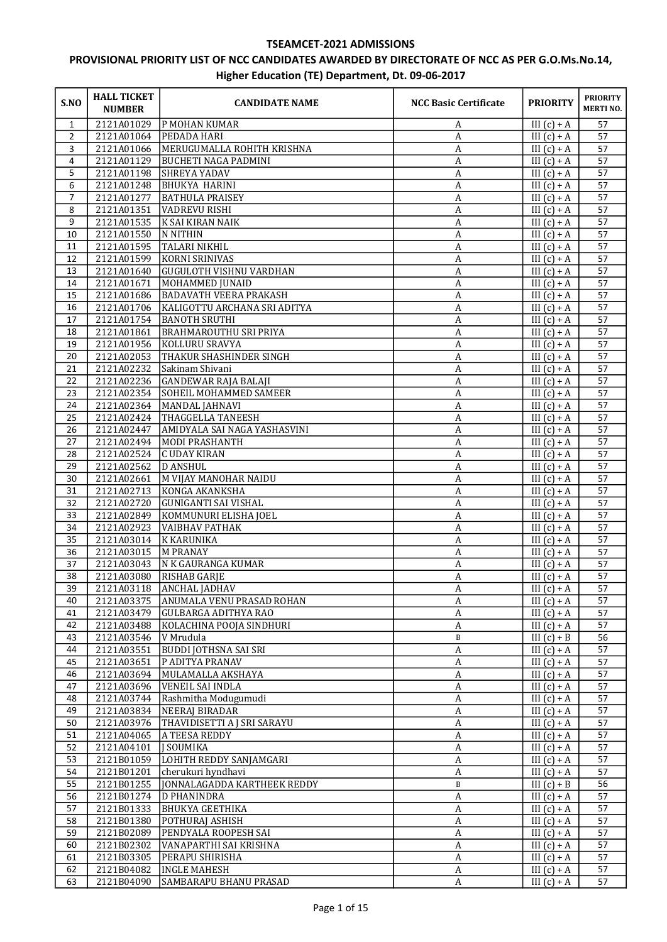## TSEAMCET-2021 ADMISSIONS

## PROVISIONAL PRIORITY LIST OF NCC CANDIDATES AWARDED BY DIRECTORATE OF NCC AS PER G.O.Ms.No.14, Higher Education (TE) Department, Dt. 09-06-2017

| S.NO           | <b>HALL TICKET</b><br><b>NUMBER</b> | <b>CANDIDATE NAME</b>                    | <b>NCC Basic Certificate</b> | <b>PRIORITY</b>                       | <b>PRIORITY</b><br><b>MERTINO.</b> |
|----------------|-------------------------------------|------------------------------------------|------------------------------|---------------------------------------|------------------------------------|
| $\mathbf{1}$   | 2121A01029                          | P MOHAN KUMAR                            | A                            | III $(c) + A$                         | 57                                 |
| $\overline{2}$ | 2121A01064                          | <b>PEDADA HARI</b>                       | A                            | III $(c) + A$                         | 57                                 |
| 3              | 2121A01066                          | MERUGUMALLA ROHITH KRISHNA               | A                            | III $(c) + A$                         | 57                                 |
| 4              | 2121A01129                          | <b>BUCHETI NAGA PADMINI</b>              | $\boldsymbol{A}$             | III $(c) + A$                         | 57                                 |
| 5              | 2121A01198                          | <b>SHREYA YADAV</b>                      | $\boldsymbol{A}$             | III $(c) + A$                         | 57                                 |
| 6              | 2121A01248                          | <b>BHUKYA HARINI</b>                     | $\boldsymbol{A}$             | III $(c) + A$                         | 57                                 |
| 7              | 2121A01277                          | <b>BATHULA PRAISEY</b>                   | A                            | III $(c) + A$                         | 57                                 |
| 8<br>9         | 2121A01351<br>2121A01535            | VADREVU RISHI<br>K SAI KIRAN NAIK        | A<br>$\boldsymbol{A}$        | III $(c) + A$                         | 57<br>57                           |
| 10             | 2121A01550                          | N NITHIN                                 | $\boldsymbol{A}$             | III $(c) + A$<br>III $(c) + A$        | 57                                 |
| 11             | 2121A01595                          | <b>TALARI NIKHIL</b>                     | $\boldsymbol{A}$             | III $(c) + A$                         | 57                                 |
| 12             | 2121A01599                          | <b>KORNI SRINIVAS</b>                    | A                            | III $(c) + A$                         | 57                                 |
| 13             | 2121A01640                          | <b>GUGULOTH VISHNU VARDHAN</b>           | A                            | III $(c) + A$                         | 57                                 |
| 14             | 2121A01671                          | MOHAMMED JUNAID                          | A                            | III $(c) + A$                         | 57                                 |
| 15             | 2121A01686                          | <b>BADAVATH VEERA PRAKASH</b>            | A                            | III $(c) + A$                         | 57                                 |
| 16             | 2121A01706                          | KALIGOTTU ARCHANA SRI ADITYA             | $\overline{A}$               | III $(c) + A$                         | 57                                 |
| 17             | 2121A01754                          | <b>BANOTH SRUTHI</b>                     | $\boldsymbol{A}$             | III $(c) + A$                         | 57                                 |
| 18             | 2121A01861                          | <b>BRAHMAROUTHU SRI PRIYA</b>            | $\boldsymbol{A}$             | III $(c) + A$                         | 57                                 |
| 19             | 2121A01956                          | KOLLURU SRAVYA                           | A                            | III $(c) + A$                         | 57                                 |
| 20             | 2121A02053                          | <b>THAKUR SHASHINDER SINGH</b>           | $\boldsymbol{A}$             | III $(c) + A$                         | 57                                 |
| 21             | 2121A02232                          | Sakinam Shivani                          | $\boldsymbol{A}$             | III $(c) + A$                         | 57                                 |
| 22             | 2121A02236                          | GANDEWAR RAJA BALAJI                     | $\boldsymbol{A}$             | III $(c) + A$                         | 57                                 |
| 23             | 2121A02354                          | SOHEIL MOHAMMED SAMEER                   | A                            | $III(c) + A$                          | 57                                 |
| 24             | 2121A02364                          | MANDAL JAHNAVI                           | A                            | III $(c) + A$                         | 57                                 |
| 25             | 2121A02424                          | <b>THAGGELLA TANEESH</b>                 | A                            | III $(c) + A$                         | 57                                 |
| 26             | 2121A02447                          | AMIDYALA SAI NAGA YASHASVINI             | A                            | $III(c) + A$                          | 57                                 |
| 27             | 2121A02494                          | MODI PRASHANTH                           | $\boldsymbol{A}$             | III $(c) + A$                         | 57                                 |
| 28             | 2121A02524                          | <b>CUDAY KIRAN</b>                       | $\boldsymbol{A}$             | $III(c) + A$                          | 57                                 |
| 29<br>30       | 2121A02562<br>2121A02661            | <b>D ANSHUL</b><br>M VIJAY MANOHAR NAIDU | A                            | III $(c) + A$<br>III $(c) + A$        | 57<br>57                           |
| 31             | 2121A02713                          | KONGA AKANKSHA                           | A<br>A                       | III $(c) + A$                         | 57                                 |
| 32             | 2121A02720                          | <b>GUNIGANTI SAI VISHAL</b>              | $\boldsymbol{A}$             | III $(c) + A$                         | 57                                 |
| 33             | 2121A02849                          | KOMMUNURI ELISHA JOEL                    | $\boldsymbol{A}$             | III $(c) + A$                         | 57                                 |
| 34             | 2121A02923                          | VAIBHAV PATHAK                           | A                            | III $(c) + A$                         | 57                                 |
| 35             | 2121A03014                          | K KARUNIKA                               | A                            | III $(c) + A$                         | 57                                 |
| 36             | 2121A03015                          | M PRANAY                                 | A                            | III $(c) + A$                         | 57                                 |
| 37             | 2121A03043                          | N K GAURANGA KUMAR                       | A                            | III $(c) + A$                         | 57                                 |
| 38             | 2121A03080                          | <b>RISHAB GARJE</b>                      | $\boldsymbol{A}$             | III $(c) + A$                         | 57                                 |
| 39             |                                     | 2121A03118 ANCHAL JADHAV                 | $\boldsymbol{A}$             | $\overline{\text{III}(\text{c})}$ + A | 57                                 |
| 40             | 2121A03375                          | <b>ANUMALA VENU PRASAD ROHAN</b>         | A                            | III $(c) + A$                         | 57                                 |
| 41             | 2121A03479                          | GULBARGA ADITHYA RAO                     | A                            | III $(c) + A$                         | 57                                 |
| 42             | 2121A03488                          | KOLACHINA POOJA SINDHURI                 | A                            | III $(c) + A$                         | 57                                 |
| 43             | 2121A03546                          | V Mrudula                                | $\, {\bf B}$                 | III $(c) + B$                         | 56                                 |
| 44             | 2121A03551                          | <b>BUDDI JOTHSNA SAI SRI</b>             | $\overline{A}$               | III $(c) + A$                         | 57                                 |
| 45             | 2121A03651                          | P ADITYA PRANAV                          | $\boldsymbol{A}$             | III $(c) + A$                         | 57                                 |
| 46             | 2121A03694                          | MULAMALLA AKSHAYA                        | $\boldsymbol{A}$             | III $(c) + A$                         | 57<br>57                           |
| 47             | 2121A03696                          | VENEIL SAI INDLA<br>Rashmitha Modugumudi | A                            | III $(c) + A$                         |                                    |
| 48<br>49       | 2121A03744<br>2121A03834            | NEERAJ BIRADAR                           | A<br>$\boldsymbol{A}$        | III $(c) + A$<br>III $(c) + A$        | 57<br>57                           |
| 50             | 2121A03976                          | THAVIDISETTI A J SRI SARAYU              | A                            | III $(c) + A$                         | 57                                 |
| 51             | 2121A04065                          | A TEESA REDDY                            | A                            | $III(c) + A$                          | 57                                 |
| 52             | 2121A04101                          | J SOUMIKA                                | A                            | III $(c) + A$                         | 57                                 |
| 53             | 2121B01059                          | LOHITH REDDY SANJAMGARI                  | A                            | III $(c) + A$                         | 57                                 |
| 54             | 2121B01201                          | cherukuri hyndhavi                       | $\boldsymbol{A}$             | III $(c) + A$                         | 57                                 |
| 55             | 2121B01255                          | JONNALAGADDA KARTHEEK REDDY              | $\, {\bf B}$                 | III $(c) + B$                         | 56                                 |
| 56             | 2121B01274                          | <b>D PHANINDRA</b>                       | $\boldsymbol{A}$             | III $(c) + A$                         | 57                                 |
| 57             | 2121B01333                          | BHUKYA GEETHIKA                          | A                            | III $(c) + A$                         | 57                                 |
| 58             | 2121B01380                          | POTHURAJ ASHISH                          | A                            | $\overline{\text{III} (c) + A}$       | 57                                 |
| 59             | 2121B02089                          | PENDYALA ROOPESH SAI                     | A                            | III $(c) + A$                         | 57                                 |
| 60             | 2121B02302                          | VANAPARTHI SAI KRISHNA                   | $\boldsymbol{A}$             | III $(c) + A$                         | 57                                 |
| 61             | 2121B03305                          | PERAPU SHIRISHA                          | $\boldsymbol{A}$             | III $(c) + A$                         | 57                                 |
| 62             | 2121B04082                          | INGLE MAHESH                             | A                            | III $(c) + A$                         | 57                                 |
| 63             | 2121B04090                          | SAMBARAPU BHANU PRASAD                   | A                            | III $(c) + A$                         | 57                                 |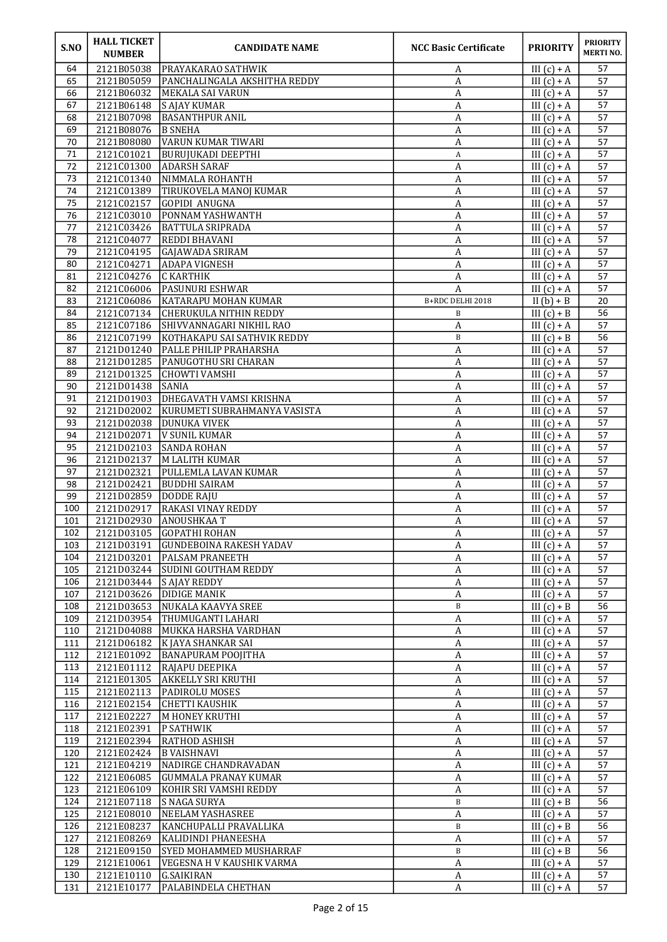| S.NO             | <b>HALL TICKET</b><br><b>NUMBER</b> | <b>CANDIDATE NAME</b>                          | <b>NCC Basic Certificate</b> | <b>PRIORITY</b>                       | <b>PRIORITY</b><br><b>MERTINO.</b> |
|------------------|-------------------------------------|------------------------------------------------|------------------------------|---------------------------------------|------------------------------------|
| 64               | 2121B05038                          | <b>PRAYAKARAO SATHWIK</b>                      | A                            | III $(c) + A$                         | 57                                 |
| 65               | 2121B05059                          | PANCHALINGALA AKSHITHA REDDY                   | A                            | III $(c) + A$                         | 57                                 |
| 66               | 2121B06032                          | MEKALA SAI VARUN                               | A                            | III $(c) + A$                         | 57                                 |
| 67               | 2121B06148                          | S AJAY KUMAR                                   | A                            | III $(c) + A$                         | 57<br>57                           |
| 68<br>69         | 2121B07098<br>2121B08076            | <b>BASANTHPUR ANIL</b><br><b>B SNEHA</b>       | A<br>A                       | III $(c) + A$<br>III $(c) + A$        | 57                                 |
| 70               | 2121B08080                          | VARUN KUMAR TIWARI                             | А                            | III $(c) + A$                         | 57                                 |
| 71               | 2121C01021                          | <b>BURUJUKADI DEEPTHI</b>                      | A                            | III $(c) + A$                         | 57                                 |
| 72               | 2121C01300                          | ADARSH SARAF                                   | A                            | III $(c) + A$                         | 57                                 |
| 73               | 2121C01340                          | NIMMALA ROHANTH                                | A                            | III $(c) + A$                         | 57                                 |
| 74               | 2121C01389                          | TIRUKOVELA MANOJ KUMAR                         | A                            | III $(c) + A$                         | 57                                 |
| 75               | 2121C02157                          | GOPIDI ANUGNA                                  | A                            | III $(c) + A$                         | 57                                 |
| 76               | 2121C03010                          | PONNAM YASHWANTH                               | A                            | III $(c) + A$                         | 57                                 |
| 77               | 2121C03426                          | <b>BATTULA SRIPRADA</b>                        | A                            | III $(c) + A$                         | 57                                 |
| 78<br>79         | 2121C04077<br>2121C04195            | <b>REDDI BHAVANI</b><br>GAJAWADA SRIRAM        | A<br>$\overline{A}$          | III $(c) + A$<br>III $(c) + A$        | 57<br>$\overline{57}$              |
| 80               | 2121C04271                          | ADAPA VIGNESH                                  | A                            | III $(c) + A$                         | 57                                 |
| 81               | 2121C04276                          | C KARTHIK                                      | A                            | III $(c) + A$                         | 57                                 |
| 82               | 2121C06006                          | PASUNURI ESHWAR                                | A                            | III $(c) + A$                         | 57                                 |
| 83               | 2121C06086                          | KATARAPU MOHAN KUMAR                           | B+RDC DELHI 2018             | II $(b) + B$                          | 20                                 |
| 84               | 2121C07134                          | <b>CHERUKULA NITHIN REDDY</b>                  | B                            | III $(c) + B$                         | $\overline{56}$                    |
| 85               | 2121C07186                          | SHIVVANNAGARI NIKHIL RAO                       | A                            | III $(c) + A$                         | 57                                 |
| 86               | 2121C07199                          | KOTHAKAPU SAI SATHVIK REDDY                    | B                            | III $(c) + B$                         | 56                                 |
| 87               | 2121D01240                          | <b>PALLE PHILIP PRAHARSHA</b>                  | A                            | III $(c) + A$                         | 57                                 |
| 88               | 2121D01285                          | PANUGOTHU SRI CHARAN                           | A                            | III $(c) + A$                         | 57                                 |
| 89               | 2121D01325                          | CHOWTI VAMSHI<br>ISANIA                        | A                            | III $(c) + A$                         | 57<br>57                           |
| 90<br>91         | 2121D01438<br>2121D01903            | DHEGAVATH VAMSI KRISHNA                        | A<br>A                       | III $(c) + A$<br>III $(c) + A$        | 57                                 |
| 92               | 2121D02002                          | KURUMETI SUBRAHMANYA VASISTA                   | A                            | III $(c) + A$                         | 57                                 |
| 93               | 2121D02038                          | <b>DUNUKA VIVEK</b>                            | A                            | III $(c) + A$                         | 57                                 |
| 94               | 2121D02071                          | V SUNIL KUMAR                                  | A                            | III $(c) + A$                         | 57                                 |
| 95               | 2121D02103                          | SANDA ROHAN                                    | $\overline{A}$               | III $(c) + A$                         | 57                                 |
| 96               | 2121D02137                          | M LALITH KUMAR                                 | A                            | III $(c) + A$                         | 57                                 |
| 97               | 2121D02321                          | PULLEMLA LAVAN KUMAR                           | A                            | III $(c) + A$                         | 57                                 |
| 98               | 2121D02421                          | <b>BUDDHI SAIRAM</b>                           | A                            | III $(c) + A$                         | 57                                 |
| 99               | 2121D02859                          | DODDE RAJU                                     | A                            | III $(c) + A$                         | 57                                 |
| 100<br>101       | 2121D02917<br>2121D02930            | RAKASI VINAY REDDY<br><b>ANOUSHKAA T</b>       | A<br>А                       | III $(c) + A$<br>III $(c) + A$        | 57<br>57                           |
| $\frac{102}{10}$ |                                     | 2121D03105 GOPATHI ROHAN                       | $\overline{\mathbf{A}}$      | $\overline{\text{III}(\text{c}) + A}$ | $\overline{57}$                    |
| 103              | 2121D03191                          | <b>GUNDEBOINA RAKESH YADAV</b>                 | A                            | III $(c) + A$                         | 57                                 |
| 104              | 2121D03201                          | <b>PALSAM PRANEETH</b>                         | A                            | III $(c) + A$                         | 57                                 |
| 105              | 2121D03244                          | SUDINI GOUTHAM REDDY                           | A                            | III $(c) + A$                         | 57                                 |
| 106              | 2121D03444                          | S AJAY REDDY                                   | $\boldsymbol{A}$             | III $(c) + A$                         | 57                                 |
| 107              | 2121D03626                          | <b>DIDIGE MANIK</b>                            | $\boldsymbol{A}$             | III $(c) + A$                         | 57                                 |
| 108              | 2121D03653                          | <b>NUKALA KAAVYA SREE</b>                      | B                            | III $(c) + B$                         | 56                                 |
| 109              | 2121D03954                          | THUMUGANTI LAHARI                              | A                            | III $(c) + A$                         | 57                                 |
| 110              | 2121D04088                          | MUKKA HARSHA VARDHAN<br>K JAYA SHANKAR SAI     | A                            | III $(c) + A$                         | 57<br>57                           |
| 111<br>112       | 2121D06182<br>2121E01092            | <b>BANAPURAM POOJITHA</b>                      | A<br>A                       | III $(c) + A$<br>III $(c) + A$        | 57                                 |
| 113              | 2121E01112                          | RAJAPU DEEPIKA                                 | A                            | III $(c) + A$                         | 57                                 |
| 114              | 2121E01305                          | AKKELLY SRI KRUTHI                             | A                            | III $(c) + A$                         | 57                                 |
| 115              | 2121E02113                          | <b>PADIROLU MOSES</b>                          | A                            | III $(c) + A$                         | 57                                 |
| 116              | 2121E02154                          | <b>CHETTI KAUSHIK</b>                          | A                            | III $(c) + A$                         | 57                                 |
| 117              | 2121E02227                          | M HONEY KRUTHI                                 | A                            | III $(c) + A$                         | 57                                 |
| 118              | 2121E02391                          | <b>P SATHWIK</b>                               | A                            | III $(c) + A$                         | 57                                 |
| 119              | 2121E02394                          | <b>RATHOD ASHISH</b>                           | A                            | III $(c) + A$                         | 57                                 |
| 120              | 2121E02424                          | <b>B VAISHNAVI</b>                             | A                            | III $(c) + A$                         | 57                                 |
| 121<br>122       | 2121E04219<br>2121E06085            | NADIRGE CHANDRAVADAN                           | A                            | III $(c) + A$<br>III $(c) + A$        | 57<br>57                           |
| 123              | 2121E06109                          | GUMMALA PRANAY KUMAR<br>KOHIR SRI VAMSHI REDDY | A<br>$\boldsymbol{A}$        | III $(c) + A$                         | 57                                 |
| 124              | 2121E07118                          | S NAGA SURYA                                   | B                            | III $(c) + B$                         | 56                                 |
| 125              | 2121E08010                          | NEELAM YASHASREE                               | A                            | III $(c) + A$                         | 57                                 |
| 126              | 2121E08237                          | KANCHUPALLI PRAVALLIKA                         | B                            | III $(c) + B$                         | 56                                 |
| 127              | 2121E08269                          | KALIDINDI PHANEESHA                            | A                            | III $(c) + A$                         | 57                                 |
| 128              | 2121E09150                          | SYED MOHAMMED MUSHARRAF                        | $\, {\bf B}$                 | III $(c) + B$                         | 56                                 |
| 129              | 2121E10061                          | VEGESNA H V KAUSHIK VARMA                      | A                            | III $(c) + A$                         | 57                                 |
| 130              | 2121E10110                          | G.SAIKIRAN                                     | A                            | III $(c) + A$                         | 57                                 |
| 131              | 2121E10177                          | PALABINDELA CHETHAN                            | A                            | III $(c) + A$                         | 57                                 |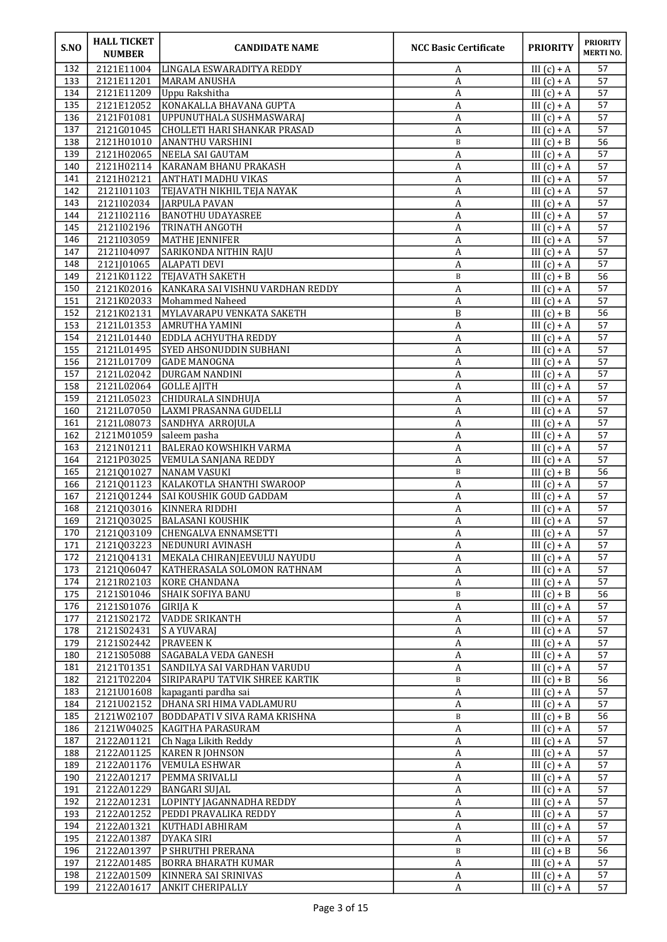| S.NO       | <b>HALL TICKET</b><br><b>NUMBER</b> | <b>CANDIDATE NAME</b>                                    | <b>NCC Basic Certificate</b> | <b>PRIORITY</b>                | <b>PRIORITY</b><br><b>MERTINO.</b> |
|------------|-------------------------------------|----------------------------------------------------------|------------------------------|--------------------------------|------------------------------------|
| 132        | 2121E11004                          | LINGALA ESWARADITYA REDDY                                | A                            | III $(c) + A$                  | 57                                 |
| 133        | 2121E11201                          | MARAM ANUSHA                                             | A                            | III $(c) + A$                  | 57                                 |
| 134        | 2121E11209                          | Uppu Rakshitha                                           | A                            | III $(c) + A$                  | 57                                 |
| 135        | 2121E12052                          | KONAKALLA BHAVANA GUPTA                                  | A                            | III $(c) + A$                  | 57                                 |
| 136<br>137 | 2121F01081<br>2121G01045            | UPPUNUTHALA SUSHMASWARAJ<br>CHOLLETI HARI SHANKAR PRASAD | A<br>A                       | III $(c) + A$<br>III $(c) + A$ | 57<br>57                           |
| 138        | 2121H01010                          | <b>ANANTHU VARSHINI</b>                                  | $\, {\bf B}$                 | III $(c) + B$                  | 56                                 |
| 139        | 2121H02065                          | NEELA SAI GAUTAM                                         | А                            | III $(c) + A$                  | 57                                 |
| 140        | 2121H02114                          | KARANAM BHANU PRAKASH                                    | A                            | III $(c) + A$                  | 57                                 |
| 141        | 2121H02121                          | <b>ANTHATI MADHU VIKAS</b>                               | A                            | III $(c) + A$                  | 57                                 |
| 142        | 2121I01103                          | TEJAVATH NIKHIL TEJA NAYAK                               | A                            | III $(c) + A$                  | 57                                 |
| 143        | 2121I02034                          | JARPULA PAVAN                                            | A                            | III $(c) + A$                  | 57                                 |
| 144<br>145 | 2121I02116<br>2121I02196            | <b>BANOTHU UDAYASREE</b><br>TRINATH ANGOTH               | A                            | III $(c) + A$<br>III $(c) + A$ | 57<br>57                           |
| 146        | 2121I03059                          | MATHE JENNIFER                                           | A<br>$\boldsymbol{A}$        | III $(c) + A$                  | 57                                 |
| 147        | 2121I04097                          | SARIKONDA NITHIN RAJU                                    | $\boldsymbol{A}$             | III $(c) + A$                  | 57                                 |
| 148        | 2121J01065                          | <b>ALAPATI DEVI</b>                                      | $\boldsymbol{A}$             | $III(c) + A$                   | 57                                 |
| 149        | 2121K01122                          | <b>TEJAVATH SAKETH</b>                                   | B                            | III $(c) + B$                  | 56                                 |
| 150        | 2121K02016                          | KANKARA SAI VISHNU VARDHAN REDDY                         | A                            | III $(c) + A$                  | 57                                 |
| 151        | 2121K02033                          | Mohammed Naheed                                          | A                            | III $(c) + A$                  | 57                                 |
| 152        | 2121K02131                          | MYLAVARAPU VENKATA SAKETH                                | B                            | III $(c) + B$                  | $\overline{56}$                    |
| 153<br>154 | 2121L01353<br>2121L01440            | AMRUTHA YAMINI<br><b>EDDLA ACHYUTHA REDDY</b>            | $\boldsymbol{A}$             | III $(c) + A$<br>III $(c) + A$ | 57<br>57                           |
| 155        | 2121L01495                          | SYED AHSONUDDIN SUBHANI                                  | A<br>А                       | $III(c) + A$                   | 57                                 |
| 156        | 2121L01709                          | <b>GADE MANOGNA</b>                                      | A                            | III $(c) + A$                  | 57                                 |
| 157        | 2121L02042                          | <b>DURGAM NANDINI</b>                                    | A                            | III $(c) + A$                  | 57                                 |
| 158        | 2121L02064                          | <b>GOLLE AJITH</b>                                       | $\boldsymbol{A}$             | III $(c) + A$                  | 57                                 |
| 159        | 2121L05023                          | CHIDURALA SINDHUJA                                       | $\boldsymbol{A}$             | III $(c) + A$                  | 57                                 |
| 160        | 2121L07050                          | LAXMI PRASANNA GUDELLI                                   | A                            | III $(c) + A$                  | 57                                 |
| 161        | 2121L08073                          | SANDHYA ARROJULA                                         | А                            | III $(c) + A$                  | 57                                 |
| 162<br>163 | 2121M01059<br>2121N01211            | saleem pasha<br><b>BALERAO KOWSHIKH VARMA</b>            | A<br>$\boldsymbol{A}$        | III $(c) + A$<br>III $(c) + A$ | 57<br>57                           |
| 164        | 2121P03025                          | <b>VEMULA SANJANA REDDY</b>                              | А                            | III $(c) + A$                  | 57                                 |
| 165        | 2121Q01027                          | NANAM VASUKI                                             | $\, {\bf B}$                 | $III(c) + B$                   | 56                                 |
| 166        | 2121Q01123                          | KALAKOTLA SHANTHI SWAROOP                                | А                            | III $(c) + A$                  | 57                                 |
| 167        | 2121Q01244                          | <b>SAI KOUSHIK GOUD GADDAM</b>                           | А                            | III $(c) + A$                  | 57                                 |
| 168        | 2121Q03016                          | KINNERA RIDDHI                                           | A                            | III $(c) + A$                  | 57                                 |
| 169        | 2121Q03025                          | <b>BALASANI KOUSHIK</b>                                  | A                            | III $(c) + A$                  | 57                                 |
| 170<br>171 | 2121Q03223                          | 2121Q03109 CHENGALVA ENNAMSETTI<br>NEDUNURI AVINASH      | $\,$ A<br>A                  | III $(c) + A$<br>III $(c) + A$ | 57<br>57                           |
| 172        | 2121Q04131                          | MEKALA CHIRANJEEVULU NAYUDU                              | A                            | III $(c) + A$                  | 57                                 |
| 173        | 2121Q06047                          | KATHERASALA SOLOMON RATHNAM                              | A                            | III $(c) + A$                  | 57                                 |
| 174        | 2121R02103                          | KORE CHANDANA                                            | $\boldsymbol{A}$             | III $(c) + A$                  | 57                                 |
| 175        | 2121S01046                          | <b>SHAIK SOFIYA BANU</b>                                 | $\, {\bf B}$                 | III $(c) + B$                  | 56                                 |
| 176        | 2121S01076                          | GIRIJA K                                                 | $\boldsymbol{A}$             | III $(c) + A$                  | 57                                 |
| 177        | 2121S02172                          | <b>VADDE SRIKANTH</b>                                    | A                            | III $(c) + A$                  | 57                                 |
| 178        | 2121S02431                          | S A YUVARAJ                                              | A                            | III $(c) + A$                  | 57                                 |
| 179<br>180 | 2121S02442<br>2121S05088            | <b>PRAVEEN K</b><br>SAGABALA VEDA GANESH                 | A<br>$\boldsymbol{A}$        | III $(c) + A$<br>III $(c) + A$ | 57<br>57                           |
| 181        | 2121T01351                          | SANDILYA SAI VARDHAN VARUDU                              | A                            | III $(c) + A$                  | 57                                 |
| 182        | 2121T02204                          | SIRIPARAPU TATVIK SHREE KARTIK                           | B                            | $III(c) + B$                   | 56                                 |
| 183        | 2121U01608                          | kapaganti pardha sai                                     | A                            | III $(c) + A$                  | 57                                 |
| 184        | 2121U02152                          | DHANA SRI HIMA VADLAMURU                                 | A                            | III $(c) + A$                  | 57                                 |
| 185        | 2121W02107                          | BODDAPATI V SIVA RAMA KRISHNA                            | $\, {\bf B}$                 | III $(c) + B$                  | 56                                 |
| 186        | 2121W04025                          | KAGITHA PARASURAM                                        | A                            | $III(c) + A$                   | 57                                 |
| 187        | 2122A01121                          | Ch Naga Likith Reddy                                     | A                            | III $(c) + A$                  | 57                                 |
| 188<br>189 | 2122A01125<br>2122A01176            | <b>KAREN R JOHNSON</b><br><b>VEMULA ESHWAR</b>           | A<br>A                       | III $(c) + A$<br>III $(c) + A$ | 57<br>57                           |
| 190        | 2122A01217                          | PEMMA SRIVALLI                                           | $\boldsymbol{A}$             | III $(c) + A$                  | 57                                 |
| 191        | 2122A01229                          | <b>BANGARI SUJAL</b>                                     | $\boldsymbol{A}$             | III $(c) + A$                  | 57                                 |
| 192        | 2122A01231                          | LOPINTY JAGANNADHA REDDY                                 | A                            | III $(c) + A$                  | 57                                 |
| 193        | 2122A01252                          | PEDDI PRAVALIKA REDDY                                    | A                            | III $(c) + A$                  | 57                                 |
| 194        | 2122A01321                          | KUTHADI ABHIRAM                                          | A                            | III $(c) + A$                  | 57                                 |
| 195        | 2122A01387                          | DYAKA SIRI                                               | A                            | III $(c) + A$                  | 57                                 |
| 196<br>197 | 2122A01397<br>2122A01485            | P SHRUTHI PRERANA<br><b>BORRA BHARATH KUMAR</b>          | B<br>$\boldsymbol{A}$        | III $(c) + B$<br>III $(c) + A$ | 56<br>57                           |
| 198        | 2122A01509                          | KINNERA SAI SRINIVAS                                     | A                            | III $(c) + A$                  | 57                                 |
| 199        | 2122A01617                          | <b>ANKIT CHERIPALLY</b>                                  | A                            | III $(c) + A$                  | 57                                 |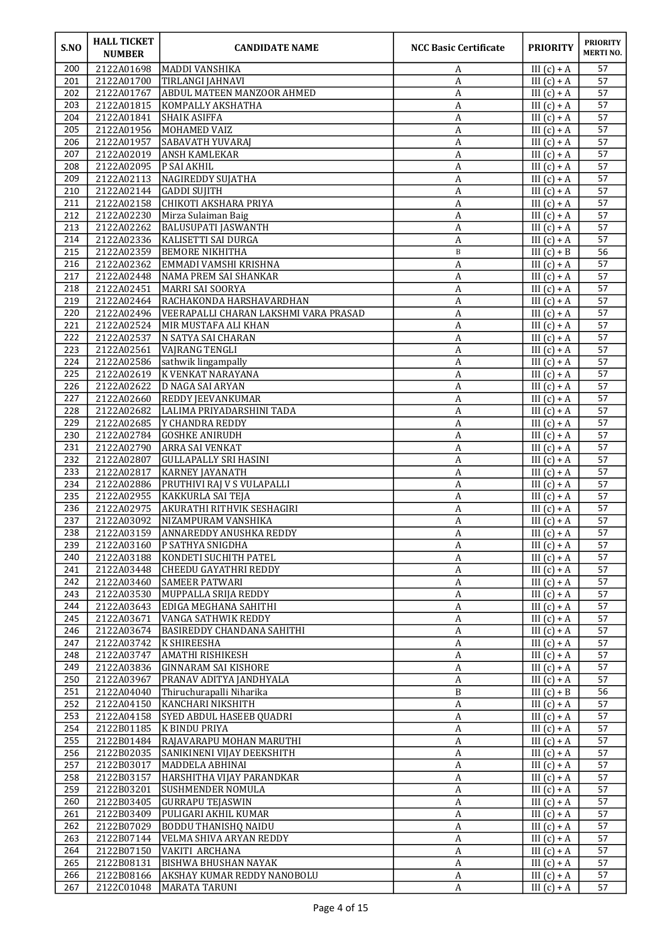| S.NO       | <b>HALL TICKET</b><br><b>NUMBER</b> | <b>CANDIDATE NAME</b>                                      | <b>NCC Basic Certificate</b>         | <b>PRIORITY</b>                | <b>PRIORITY</b><br><b>MERTINO.</b> |
|------------|-------------------------------------|------------------------------------------------------------|--------------------------------------|--------------------------------|------------------------------------|
| 200        | 2122A01698                          | IMADDI VANSHIKA                                            | A                                    | III $(c) + A$                  | 57                                 |
| 201        | 2122A01700                          | TIRLANGI JAHNAVI                                           | A                                    | III $(c) + A$                  | 57                                 |
| 202        | 2122A01767                          | <b>ABDUL MATEEN MANZOOR AHMED</b>                          | А                                    | III $(c) + A$                  | 57                                 |
| 203<br>204 | 2122A01815<br>2122A01841            | KOMPALLY AKSHATHA<br><b>SHAIK ASIFFA</b>                   | A<br>A                               | III $(c) + A$<br>III $(c) + A$ | 57<br>57                           |
| 205        | 2122A01956                          | MOHAMED VAIZ                                               | A                                    | $III(c) + A$                   | 57                                 |
| 206        | 2122A01957                          | <b>SABAVATH YUVARAJ</b>                                    | A                                    | III $(c) + A$                  | 57                                 |
| 207        | 2122A02019                          | <b>ANSH KAMLEKAR</b>                                       | A                                    | III $(c) + A$                  | 57                                 |
| 208        | 2122A02095                          | P SAI AKHIL                                                | A                                    | III $(c) + A$                  | 57                                 |
| 209        | 2122A02113                          | NAGIREDDY SUJATHA                                          | A                                    | III $(c) + A$                  | 57                                 |
| 210        | 2122A02144                          | GADDI SUJITH                                               | A                                    | $III(c) + A$                   | 57                                 |
| 211        | 2122A02158                          | CHIKOTI AKSHARA PRIYA                                      | $\boldsymbol{A}$                     | $III(c) + A$                   | 57                                 |
| 212<br>213 | 2122A02230                          | Mirza Sulaiman Baig                                        | А                                    | III $(c) + A$                  | 57<br>57                           |
| 214        | 2122A02262<br>2122A02336            | <b>BALUSUPATI JASWANTH</b><br>KALISETTI SAI DURGA          | A<br>A                               | III $(c) + A$<br>III $(c) + A$ | 57                                 |
| 215        | 2122A02359                          | <b>BEMORE NIKHITHA</b>                                     | $\, {\bf B}$                         | $III(c) + B$                   | $\overline{56}$                    |
| 216        | 2122A02362                          | EMMADI VAMSHI KRISHNA                                      | A                                    | $III(c) + A$                   | 57                                 |
| 217        | 2122A02448                          | NAMA PREM SAI SHANKAR                                      | A                                    | III $(c) + A$                  | 57                                 |
| 218        | 2122A02451                          | MARRI SAI SOORYA                                           | A                                    | III $(c) + A$                  | 57                                 |
| 219        | 2122A02464                          | RACHAKONDA HARSHAVARDHAN                                   | A                                    | III $(c) + A$                  | 57                                 |
| 220        | 2122A02496                          | VEERAPALLI CHARAN LAKSHMI VARA PRASAD                      | $\boldsymbol{A}$                     | III $(c) + A$                  | 57                                 |
| 221        | 2122A02524                          | MIR MUSTAFA ALI KHAN                                       | $\boldsymbol{A}$                     | III $(c) + A$                  | 57                                 |
| 222        | 2122A02537                          | N SATYA SAI CHARAN                                         | $\boldsymbol{A}$                     | III $(c) + A$                  | 57                                 |
| 223<br>224 | 2122A02561<br>2122A02586            | <b>VAJRANG TENGLI</b><br>sathwik lingampally               | A<br>А                               | $III(c) + A$<br>III $(c) + A$  | 57<br>57                           |
| 225        | 2122A02619                          | K VENKAT NARAYANA                                          | A                                    | $III(c) + A$                   | 57                                 |
| 226        | 2122A02622                          | D NAGA SAI ARYAN                                           | A                                    | III $(c) + A$                  | 57                                 |
| 227        | 2122A02660                          | <b>REDDY JEEVANKUMAR</b>                                   | A                                    | III $(c) + A$                  | $\overline{57}$                    |
| 228        | 2122A02682                          | LALIMA PRIYADARSHINI TADA                                  | A                                    | III $(c) + A$                  | 57                                 |
| 229        | 2122A02685                          | Y CHANDRA REDDY                                            | A                                    | III $(c) + A$                  | 57                                 |
| 230        | 2122A02784                          | GOSHKE ANIRUDH                                             | A                                    | III $(c) + A$                  | 57                                 |
| 231        | 2122A02790                          | <b>ARRA SAI VENKAT</b>                                     | $\boldsymbol{A}$                     | III $(c) + A$                  | 57                                 |
| 232        | 2122A02807                          | <b>GULLAPALLY SRI HASINI</b>                               | $\boldsymbol{A}$                     | III $(c) + A$                  | 57                                 |
| 233<br>234 | 2122A02817                          | <b>KARNEY JAYANATH</b>                                     | $\boldsymbol{A}$                     | $III(c) + A$                   | 57<br>57                           |
| 235        | 2122A02886<br>2122A02955            | <b>PRUTHIVI RAJ V S VULAPALLI</b><br>KAKKURLA SAI TEJA     | $\boldsymbol{A}$<br>A                | III $(c) + A$<br>III $(c) + A$ | 57                                 |
| 236        | 2122A02975                          | AKURATHI RITHVIK SESHAGIRI                                 | A                                    | III $(c) + A$                  | 57                                 |
| 237        | 2122A03092                          | NIZAMPURAM VANSHIKA                                        | A                                    | III $(c) + A$                  | 57                                 |
| 238        |                                     | 2122A03159 ANNAREDDY ANUSHKA REDDY                         | $\overline{\mathbf{A}}$              | III $(c) + A$                  | 57                                 |
| 239        | 2122A03160                          | <b>P SATHYA SNIGDHA</b>                                    | A                                    | III $(c) + A$                  | 57                                 |
| 240        | 2122A03188                          | KONDETI SUCHITH PATEL                                      | A                                    | $III(c) + A$                   | 57                                 |
| 241        | 2122A03448                          | <b>CHEEDU GAYATHRI REDDY</b>                               | A                                    | III $(c) + A$                  | 57                                 |
| 242        | 2122A03460                          | <b>SAMEER PATWARI</b>                                      | A                                    | III $(c) + A$                  | 57                                 |
| 243<br>244 | 2122A03530<br>2122A03643            | MUPPALLA SRIJA REDDY                                       | $\boldsymbol{A}$<br>$\boldsymbol{A}$ | III $(c) + A$<br>III $(c) + A$ | 57<br>57                           |
| 245        | 2122A03671                          | EDIGA MEGHANA SAHITHI<br>VANGA SATHWIK REDDY               | A                                    | III $(c) + A$                  | 57                                 |
| 246        | 2122A03674                          | BASIREDDY CHANDANA SAHITHI                                 | A                                    | III $(c) + A$                  | 57                                 |
| 247        | 2122A03742                          | K SHIREESHA                                                | $\boldsymbol{A}$                     | III $(c) + A$                  | 57                                 |
| 248        | 2122A03747                          | AMATHI RISHIKESH                                           | $\boldsymbol{A}$                     | III $(c) + A$                  | 57                                 |
| 249        | 2122A03836                          | <b>GINNARAM SAI KISHORE</b>                                | A                                    | III $(c) + A$                  | 57                                 |
| 250        | 2122A03967                          | PRANAV ADITYA JANDHYALA                                    | $\boldsymbol{A}$                     | $III(c) + A$                   | 57                                 |
| 251        | 2122A04040                          | Thiruchurapalli Niharika                                   | B                                    | III $(c) + B$                  | 56                                 |
| 252        | 2122A04150                          | KANCHARI NIKSHITH                                          | A                                    | III $(c) + A$                  | 57                                 |
| 253        | 2122A04158                          | <b>SYED ABDUL HASEEB QUADRI</b>                            | $\boldsymbol{A}$                     | III $(c) + A$                  | 57                                 |
| 254        | 2122B01185<br>2122B01484            | K BINDU PRIYA<br>RAJAVARAPU MOHAN MARUTHI                  | $\overline{A}$<br>$\boldsymbol{A}$   | III $(c) + A$<br>III $(c) + A$ | 57<br>57                           |
| 255<br>256 | 2122B02035                          | SANIKINENI VIJAY DEEKSHITH                                 | A                                    | III $(c) + A$                  | 57                                 |
| 257        | 2122B03017                          | MADDELA ABHINAI                                            | A                                    | III $(c) + A$                  | 57                                 |
| 258        | 2122B03157                          | HARSHITHA VIJAY PARANDKAR                                  | A                                    | III $(c) + A$                  | 57                                 |
| 259        | 2122B03201                          | SUSHMENDER NOMULA                                          | $\boldsymbol{A}$                     | III $(c) + A$                  | 57                                 |
| 260        | 2122B03405                          | <b>GURRAPU TEJASWIN</b>                                    | $\boldsymbol{A}$                     | III $(c) + A$                  | 57                                 |
| 261        | 2122B03409                          | PULIGARI AKHIL KUMAR                                       | A                                    | III $(c) + A$                  | 57                                 |
| 262        | 2122B07029                          | <b>BODDU THANISHQ NAIDU</b>                                | A                                    | III $(c) + A$                  | 57                                 |
| 263        | 2122B07144                          | VELMA SHIVA ARYAN REDDY                                    | A                                    | III $(c) + A$                  | 57                                 |
| 264        | 2122B07150                          | VAKITI ARCHANA                                             | A                                    | III $(c) + A$                  | 57                                 |
| 265<br>266 | 2122B08131<br>2122B08166            | <b>BISHWA BHUSHAN NAYAK</b><br>AKSHAY KUMAR REDDY NANOBOLU | $\boldsymbol{A}$<br>A                | III $(c) + A$<br>III $(c) + A$ | 57<br>57                           |
| 267        | 2122C01048                          | MARATA TARUNI                                              | $\boldsymbol{A}$                     | III $(c) + A$                  | 57                                 |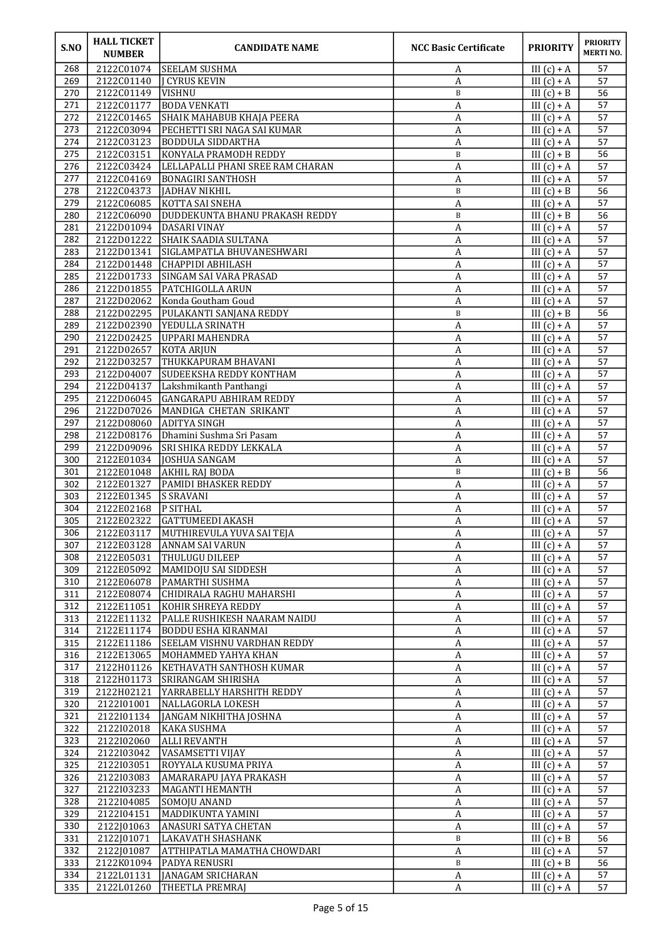| S.NO       | <b>HALL TICKET</b><br><b>NUMBER</b> | <b>CANDIDATE NAME</b>                                        | <b>NCC Basic Certificate</b> | <b>PRIORITY</b>                | <b>PRIORITY</b><br><b>MERTINO.</b> |
|------------|-------------------------------------|--------------------------------------------------------------|------------------------------|--------------------------------|------------------------------------|
| 268        | 2122C01074                          | <b>SEELAM SUSHMA</b>                                         | A                            | III $(c) + A$                  | 57                                 |
| 269        | 2122C01140                          | <b>I CYRUS KEVIN</b>                                         | А                            | III $(c) + A$                  | 57                                 |
| 270        | 2122C01149                          | <b>VISHNU</b>                                                | B                            | III $(c) + B$                  | 56                                 |
| 271        | 2122C01177                          | <b>BODA VENKATI</b>                                          | A                            | III $(c) + A$                  | 57                                 |
| 272        | 2122C01465                          | <b>SHAIK MAHABUB KHAJA PEERA</b>                             | A                            | III $(c) + A$                  | 57                                 |
| 273        | 2122C03094                          | PECHETTI SRI NAGA SAI KUMAR                                  | A                            | III $(c) + A$                  | 57                                 |
| 274        | 2122C03123                          | <b>BODDULA SIDDARTHA</b>                                     | A                            | III $(c) + A$                  | 57                                 |
| 275        | 2122C03151                          | KONYALA PRAMODH REDDY                                        | $\, {\bf B}$                 | III $(c) + B$                  | 56                                 |
| 276<br>277 | 2122C03424<br>2122C04169            | LELLAPALLI PHANI SREE RAM CHARAN<br><b>BONAGIRI SANTHOSH</b> | A<br>A                       | III $(c) + A$<br>III $(c) + A$ | 57<br>57                           |
| 278        | 2122C04373                          | JADHAV NIKHIL                                                | $\, {\bf B}$                 | III $(c) + B$                  | 56                                 |
| 279        | 2122C06085                          | KOTTA SAI SNEHA                                              | А                            | III $(c) + A$                  | 57                                 |
| 280        | 2122C06090                          | DUDDEKUNTA BHANU PRAKASH REDDY                               | B                            | III $(c) + B$                  | 56                                 |
| 281        | 2122D01094                          | DASARI VINAY                                                 | A                            | III $(c) + A$                  | 57                                 |
| 282        | 2122D01222                          | <b>SHAIK SAADIA SULTANA</b>                                  | A                            | III $(c) + A$                  | 57                                 |
| 283        | 2122D01341                          | SIGLAMPATLA BHUVANESHWARI                                    | A                            | III $(c) + A$                  | 57                                 |
| 284        | 2122D01448                          | <b>CHAPPIDI ABHILASH</b>                                     | A                            | III $(c) + A$                  | 57                                 |
| 285        | 2122D01733                          | <b>SINGAM SAI VARA PRASAD</b>                                | A                            | III $(c) + A$                  | 57                                 |
| 286        | 2122D01855                          | <b>PATCHIGOLLA ARUN</b>                                      | A                            | III $(c) + A$                  | 57                                 |
| 287<br>288 | 2122D02062<br>2122D02295            | Konda Goutham Goud<br>PULAKANTI SANJANA REDDY                | A<br>B                       | III $(c) + A$<br>III $(c) + B$ | 57<br>56                           |
| 289        | 2122D02390                          | YEDULLA SRINATH                                              | A                            | III $(c) + A$                  | 57                                 |
| 290        | 2122D02425                          | <b>UPPARI MAHENDRA</b>                                       | A                            | III $(c) + A$                  | 57                                 |
| 291        | 2122D02657                          | KOTA ARJUN                                                   | A                            | III $(c) + A$                  | 57                                 |
| 292        | 2122D03257                          | THUKKAPURAM BHAVANI                                          | A                            | III $(c) + A$                  | 57                                 |
| 293        | 2122D04007                          | SUDEEKSHA REDDY KONTHAM                                      | A                            | III $(c) + A$                  | 57                                 |
| 294        | 2122D04137                          | Lakshmikanth Panthangi                                       | A                            | III $(c) + A$                  | 57                                 |
| 295        | 2122D06045                          | <b>GANGARAPU ABHIRAM REDDY</b>                               | A                            | III $(c) + A$                  | 57                                 |
| 296        | 2122D07026                          | MANDIGA CHETAN SRIKANT                                       | A                            | III $(c) + A$                  | 57                                 |
| 297<br>298 | 2122D08060<br>2122D08176            | <b>ADITYA SINGH</b><br>Dhamini Sushma Sri Pasam              | А<br>$\boldsymbol{A}$        | III $(c) + A$<br>III $(c) + A$ | 57<br>57                           |
| 299        | 2122D09096                          | <b>SRI SHIKA REDDY LEKKALA</b>                               | $\boldsymbol{A}$             | III $(c) + A$                  | 57                                 |
| 300        | 2122E01034                          | JOSHUA SANGAM                                                | А                            | III $(c) + A$                  | 57                                 |
| 301        | 2122E01048                          | <b>AKHIL RAJ BODA</b>                                        | $\, {\bf B}$                 | III $(c) + B$                  | 56                                 |
| 302        | 2122E01327                          | <b>PAMIDI BHASKER REDDY</b>                                  | А                            | III $(c) + A$                  | 57                                 |
| 303        | 2122E01345                          | <b>S SRAVANI</b>                                             | A                            | $III(c) + A$                   | 57                                 |
| 304        | 2122E02168                          | <b>P SITHAL</b>                                              | A                            | III $(c) + A$                  | 57                                 |
| 305        | 2122E02322                          | <b>GATTUMEEDI AKASH</b>                                      | A                            | III $(c) + A$                  | 57                                 |
| 306        |                                     | 2122E03117 MUTHIREVULA YUVA SAI TEJA                         | $\overline{A}$               | III $(c) + A$                  | 57                                 |
| 307<br>308 | 2122E05031                          | 2122E03128 ANNAM SAI VARUN<br><b>THULUGU DILEEP</b>          | A<br>A                       | III $(c) + A$<br>$III(c) + A$  | 57<br>57                           |
| 309        | 2122E05092                          | MAMIDOJU SAI SIDDESH                                         | $\boldsymbol{A}$             | III $(c) + A$                  | 57                                 |
| 310        | 2122E06078                          | PAMARTHI SUSHMA                                              | $\boldsymbol{A}$             | III $(c) + A$                  | 57                                 |
| 311        | 2122E08074                          | CHIDIRALA RAGHU MAHARSHI                                     | $\boldsymbol{A}$             | III $(c) + A$                  | 57                                 |
| 312        | 2122E11051                          | KOHIR SHREYA REDDY                                           | A                            | III $(c) + A$                  | 57                                 |
| 313        | 2122E11132                          | PALLE RUSHIKESH NAARAM NAIDU                                 | A                            | III $(c) + A$                  | 57                                 |
| 314        | 2122E11174                          | BODDU ESHA KIRANMAI                                          | $\boldsymbol{A}$             | III $(c) + A$                  | 57                                 |
| 315        | 2122E11186                          | <b>SEELAM VISHNU VARDHAN REDDY</b>                           | $\boldsymbol{A}$             | III $(c) + A$                  | 57                                 |
| 316        | 2122E13065                          | MOHAMMED YAHYA KHAN                                          | A                            | III $(c) + A$                  | 57                                 |
| 317<br>318 | 2122H01126<br>2122H01173            | <b>KETHAVATH SANTHOSH KUMAR</b><br>SRIRANGAM SHIRISHA        | $\boldsymbol{A}$             | $III(c) + A$<br>III $(c) + A$  | 57<br>57                           |
| 319        | 2122H02121                          | YARRABELLY HARSHITH REDDY                                    | A<br>A                       | III $(c) + A$                  | 57                                 |
| 320        | 2122101001                          | NALLAGORLA LOKESH                                            | $\boldsymbol{A}$             | III $(c) + A$                  | 57                                 |
| 321        | 2122101134                          | JANGAM NIKHITHA JOSHNA                                       | $\boldsymbol{A}$             | III $(c) + A$                  | 57                                 |
| 322        | 2122102018                          | KAKA SUSHMA                                                  | $\boldsymbol{A}$             | III $(c) + A$                  | 57                                 |
| 323        | 2122I02060                          | <b>ALLI REVANTH</b>                                          | A                            | III $(c) + A$                  | 57                                 |
| 324        | 2122103042                          | VASAMSETTI VIJAY                                             | A                            | III $(c) + A$                  | 57                                 |
| 325        | 2122103051                          | ROYYALA KUSUMA PRIYA                                         | $\boldsymbol{A}$             | III $(c) + A$                  | 57                                 |
| 326        | 2122I03083                          | AMARARAPU JAYA PRAKASH                                       | $\boldsymbol{A}$             | III $(c) + A$                  | 57                                 |
| 327        | 2122103233                          | MAGANTI HEMANTH                                              | A                            | III $(c) + A$                  | 57                                 |
| 328<br>329 | 2122I04085<br>2122104151            | SOMOJU ANAND<br>MADDIKUNTA YAMINI                            | $\boldsymbol{A}$<br>A        | III $(c) + A$<br>III $(c) + A$ | 57<br>57                           |
| 330        | 2122J01063                          | ANASURI SATYA CHETAN                                         | A                            | III $(c) + A$                  | 57                                 |
| 331        | 2122J01071                          | LAKAVATH SHASHANK                                            | $\, {\bf B}$                 | III $(c) + B$                  | 56                                 |
| 332        | 2122J01087                          | ATTHIPATLA MAMATHA CHOWDARI                                  | A                            | III $(c) + A$                  | 57                                 |
| 333        | 2122K01094                          | <b>PADYA RENUSRI</b>                                         | $\, {\bf B}$                 | III $(c) + B$                  | 56                                 |
| 334        | 2122L01131                          | JANAGAM SRICHARAN                                            | A                            | III $(c) + A$                  | 57                                 |
| 335        | 2122L01260                          | <b>THEETLA PREMRAJ</b>                                       | A                            | III $(c) + A$                  | 57                                 |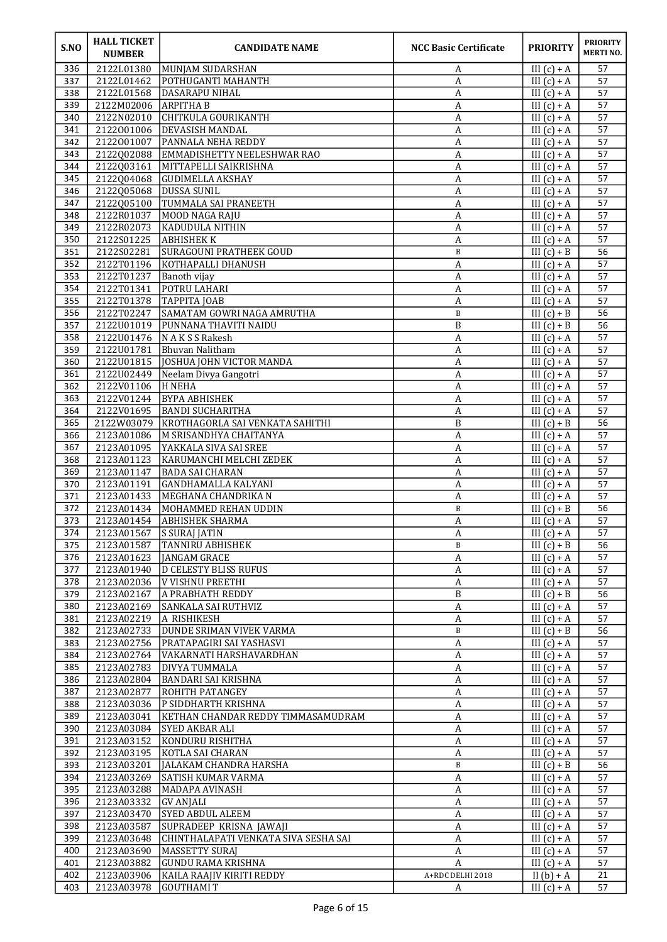| S.NO       | <b>HALL TICKET</b><br><b>NUMBER</b> | <b>CANDIDATE NAME</b>                              | <b>NCC Basic Certificate</b>         | <b>PRIORITY</b>                | <b>PRIORITY</b><br><b>MERTINO.</b> |
|------------|-------------------------------------|----------------------------------------------------|--------------------------------------|--------------------------------|------------------------------------|
| 336        | 2122L01380                          | MUNJAM SUDARSHAN                                   | A                                    | III $(c) + A$                  | 57                                 |
| 337        | 2122L01462                          | POTHUGANTI MAHANTH                                 | A                                    | III $(c) + A$                  | 57                                 |
| 338        | 2122L01568                          | DASARAPU NIHAL                                     | A                                    | $III(c) + A$                   | 57                                 |
| 339<br>340 | 2122M02006<br>2122N02010            | <b>ARPITHA B</b><br>CHITKULA GOURIKANTH            | A<br>A                               | III $(c) + A$<br>III $(c) + A$ | 57<br>57                           |
| 341        | 2122001006                          | <b>DEVASISH MANDAL</b>                             | A                                    | III $(c) + A$                  | 57                                 |
| 342        | 2122001007                          | PANNALA NEHA REDDY                                 | A                                    | III $(c) + A$                  | 57                                 |
| 343        | 2122Q02088                          | EMMADISHETTY NEELESHWAR RAO                        | А                                    | III $(c) + A$                  | 57                                 |
| 344        | 2122Q03161                          | MITTAPELLI SAIKRISHNA                              | A                                    | III $(c) + A$                  | 57                                 |
| 345        | 2122Q04068                          | <b>GUDIMELLA AKSHAY</b>                            | A                                    | III $(c) + A$                  | 57                                 |
| 346        | 2122Q05068                          | <b>DUSSA SUNIL</b>                                 | A                                    | III $(c) + A$                  | 57                                 |
| 347        | 2122Q05100                          | TUMMALA SAI PRANEETH                               | A                                    | III $(c) + A$                  | 57                                 |
| 348        | 2122R01037                          | MOOD NAGA RAJU                                     | A                                    | III $(c) + A$                  | 57                                 |
| 349        | 2122R02073                          | KADUDULA NITHIN                                    | A                                    | III $(c) + A$                  | 57                                 |
| 350        | 2122S01225<br>2122S02281            | <b>ABHISHEKK</b><br><b>SURAGOUNI PRATHEEK GOUD</b> | A<br>$\, {\bf B}$                    | III $(c) + A$<br>$III(c) + B$  | 57<br>56                           |
| 351<br>352 | 2122T01196                          | <b>KOTHAPALLI DHANUSH</b>                          | $\boldsymbol{A}$                     | $III(c) + A$                   | 57                                 |
| 353        | 2122T01237                          | Banoth vijay                                       | A                                    | III $(c) + A$                  | 57                                 |
| 354        | 2122T01341                          | POTRU LAHARI                                       | A                                    | III $(c) + A$                  | 57                                 |
| 355        | 2122T01378                          | ТАРРІТА ЈОАВ                                       | A                                    | III $(c) + A$                  | 57                                 |
| 356        | 2122T02247                          | SAMATAM GOWRI NAGA AMRUTHA                         | $\, {\bf B}$                         | III $(c) + B$                  | $\overline{56}$                    |
| 357        | 2122U01019                          | PUNNANA THAVITI NAIDU                              | B                                    | III $(c) + B$                  | 56                                 |
| 358        | 2122U01476                          | N A K S S Rakesh                                   | A                                    | III $(c) + A$                  | 57                                 |
| 359        | 2122U01781                          | Bhuvan Nalitham                                    | А                                    | III $(c) + A$                  | 57                                 |
| 360        | 2122U01815                          | JOSHUA JOHN VICTOR MANDA                           | A                                    | III $(c) + A$                  | 57                                 |
| 361<br>362 | 2122U02449<br>2122V01106            | Neelam Divya Gangotri<br>H NEHA                    | A<br>$\boldsymbol{A}$                | III $(c) + A$<br>III $(c) + A$ | 57<br>57                           |
| 363        | 2122V01244                          | <b>BYPA ABHISHEK</b>                               | $\boldsymbol{A}$                     | $III(c) + A$                   | 57                                 |
| 364        | 2122V01695                          | <b>BANDI SUCHARITHA</b>                            | A                                    | III $(c) + A$                  | 57                                 |
| 365        | 2122W03079                          | KROTHAGORLA SAI VENKATA SAHITHI                    | B                                    | III $(c) + B$                  | 56                                 |
| 366        | 2123A01086                          | M SRISANDHYA CHAITANYA                             | A                                    | III $(c) + A$                  | 57                                 |
| 367        | 2123A01095                          | YAKKALA SIVA SAI SREE                              | A                                    | III $(c) + A$                  | 57                                 |
| 368        | 2123A01123                          | KARUMANCHI MELCHI ZEDEK                            | A                                    | III $(c) + A$                  | 57                                 |
| 369        | 2123A01147                          | <b>BADA SAI CHARAN</b>                             | A                                    | $III(c) + A$                   | 57                                 |
| 370        | 2123A01191                          | <b>GANDHAMALLA KALYANI</b>                         | A                                    | III $(c) + A$                  | 57                                 |
| 371<br>372 | 2123A01433<br>2123A01434            | MEGHANA CHANDRIKA N<br>MOHAMMED REHAN UDDIN        | A<br>$\, {\bf B}$                    | III $(c) + A$<br>III $(c) + B$ | 57<br>56                           |
| 373        | 2123A01454                          | <b>ABHISHEK SHARMA</b>                             | A                                    | III $(c) + A$                  | 57                                 |
| 374        |                                     | 2123A01567 S SURAJ JATIN                           | $\,$ A                               | III $(c) + A$                  | 57                                 |
| 375        | 2123A01587                          | <b>TANNIRU ABHISHEK</b>                            | B                                    | III $(c) + B$                  | 56                                 |
| 376        | 2123A01623                          | JANGAM GRACE                                       | A                                    | III $(c) + A$                  | 57                                 |
| 377        | 2123A01940                          | <b>D CELESTY BLISS RUFUS</b>                       | $\boldsymbol{A}$                     | III $(c) + A$                  | 57                                 |
| 378        | 2123A02036                          | V VISHNU PREETHI                                   | $\boldsymbol{\mathsf{A}}$            | III $(c) + A$                  | 57                                 |
| 379        | 2123A02167                          | <b>A PRABHATH REDDY</b>                            | $\, {\bf B}$                         | III $(c) + B$                  | 56                                 |
| 380        | 2123A02169                          | SANKALA SAI RUTHVIZ                                | $\boldsymbol{A}$                     | III $(c) + A$                  | 57                                 |
| 381<br>382 | 2123A02219<br>2123A02733            | A RISHIKESH<br><b>DUNDE SRIMAN VIVEK VARMA</b>     | A<br>B                               | III $(c) + A$<br>III $(c) + B$ | 57<br>56                           |
| 383        | 2123A02756                          | PRATAPAGIRI SAI YASHASVI                           | A                                    | III $(c) + A$                  | 57                                 |
| 384        | 2123A02764                          | VAKARNATI HARSHAVARDHAN                            | $\boldsymbol{A}$                     | $III(c) + A$                   | 57                                 |
| 385        | 2123A02783                          | <b>DIVYA TUMMALA</b>                               | A                                    | III $(c) + A$                  | 57                                 |
| 386        | 2123A02804                          | <b>BANDARI SAI KRISHNA</b>                         | A                                    | III $(c) + A$                  | 57                                 |
| 387        | 2123A02877                          | <b>ROHITH PATANGEY</b>                             | A                                    | III $(c) + A$                  | 57                                 |
| 388        | 2123A03036                          | P SIDDHARTH KRISHNA                                | A                                    | III $(c) + A$                  | 57                                 |
| 389        | 2123A03041                          | KETHAN CHANDAR REDDY TIMMASAMUDRAM                 | A                                    | III $(c) + A$                  | 57                                 |
| 390        | 2123A03084                          | SYED AKBAR ALI                                     | A                                    | III $(c) + A$                  | 57                                 |
| 391<br>392 | 2123A03152<br>2123A03195            | KONDURU RISHITHA<br>KOTLA SAI CHARAN               | A<br>A                               | III $(c) + A$<br>III $(c) + A$ | 57<br>57                           |
| 393        | 2123A03201                          | JALAKAM CHANDRA HARSHA                             | B                                    | III $(c) + B$                  | 56                                 |
| 394        | 2123A03269                          | SATISH KUMAR VARMA                                 | $\boldsymbol{A}$                     | III $(c) + A$                  | 57                                 |
| 395        | 2123A03288                          | MADAPA AVINASH                                     | A                                    | III $(c) + A$                  | 57                                 |
| 396        | 2123A03332                          | <b>GV ANJALI</b>                                   | A                                    | III $(c) + A$                  | 57                                 |
| 397        | 2123A03470                          | <b>SYED ABDUL ALEEM</b>                            | A                                    | III $(c) + A$                  | 57                                 |
| 398        | 2123A03587                          | SUPRADEEP KRISNA JAWAJI                            | A                                    | III $(c) + A$                  | 57                                 |
| 399        | 2123A03648                          | CHINTHALAPATI VENKATA SIVA SESHA SAI               | A                                    | III $(c) + A$                  | 57                                 |
| 400        | 2123A03690                          | MASSETTY SURAJ                                     | $\boldsymbol{A}$                     | III $(c) + A$                  | 57                                 |
| 401<br>402 | 2123A03882<br>2123A03906            | GUNDU RAMA KRISHNA<br>KAILA RAAJIV KIRITI REDDY    | $\boldsymbol{A}$<br>A+RDC DELHI 2018 | III $(c) + A$<br>II $(b) + A$  | 57<br>21                           |
| 403        | 2123A03978                          | GOUTHAMI T                                         | A                                    | III $(c) + A$                  | 57                                 |
|            |                                     |                                                    |                                      |                                |                                    |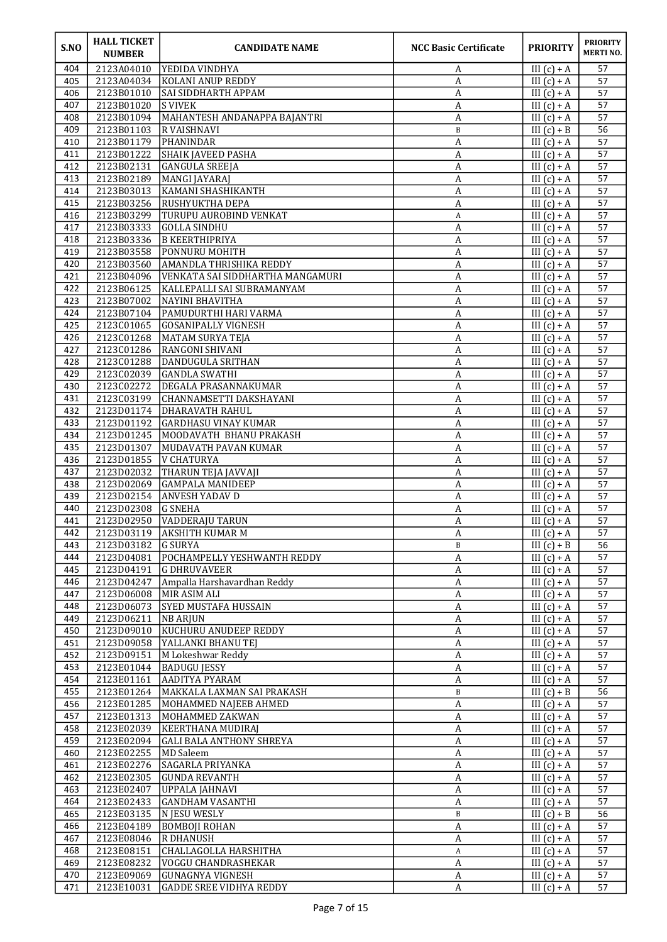| S.NO       | <b>HALL TICKET</b><br><b>NUMBER</b> | <b>CANDIDATE NAME</b>                          | <b>NCC Basic Certificate</b> | <b>PRIORITY</b>                | <b>PRIORITY</b><br><b>MERTINO.</b> |
|------------|-------------------------------------|------------------------------------------------|------------------------------|--------------------------------|------------------------------------|
| 404        | 2123A04010                          | IYEDIDA VINDHYA                                | A                            | III $(c) + A$                  | 57                                 |
| 405        | 2123A04034                          | <b>KOLANI ANUP REDDY</b>                       | A                            | III $(c) + A$                  | 57                                 |
| 406        | 2123B01010                          | SAI SIDDHARTH APPAM                            | A                            | III $(c) + A$                  | 57                                 |
| 407<br>408 | 2123B01020<br>2123B01094            | <b>S VIVEK</b><br>MAHANTESH ANDANAPPA BAJANTRI | A<br>A                       | III $(c) + A$<br>III $(c) + A$ | 57<br>57                           |
| 409        | 2123B01103                          | <b>R VAISHNAVI</b>                             | $\, {\bf B}$                 | III $(c) + B$                  | 56                                 |
| 410        | 2123B01179                          | PHANINDAR                                      | A                            | III $(c) + A$                  | 57                                 |
| 411        | 2123B01222                          | <b>SHAIK JAVEED PASHA</b>                      | А                            | III $(c) + A$                  | 57                                 |
| 412        | 2123B02131                          | GANGULA SREEJA                                 | A                            | III $(c) + A$                  | 57                                 |
| 413        | 2123B02189                          | MANGI JAYARAJ                                  | A                            | III $(c) + A$                  | 57                                 |
| 414        | 2123B03013                          | KAMANI SHASHIKANTH                             | A                            | III $(c) + A$                  | 57                                 |
| 415        | 2123B03256                          | <b>RUSHYUKTHA DEPA</b>                         | A                            | III $(c) + A$                  | 57                                 |
| 416<br>417 | 2123B03299<br>2123B03333            | TURUPU AUROBIND VENKAT<br>GOLLA SINDHU         | A                            | III $(c) + A$<br>III $(c) + A$ | 57<br>57                           |
| 418        | 2123B03336                          | <b>B KEERTHIPRIYA</b>                          | A<br>A                       | III $(c) + A$                  | 57                                 |
| 419        | 2123B03558                          | PONNURU MOHITH                                 | A                            | III $(c) + A$                  | 57                                 |
| 420        | 2123B03560                          | <b>AMANDLA THRISHIKA REDDY</b>                 | $\boldsymbol{A}$             | $III(c) + A$                   | 57                                 |
| 421        | 2123B04096                          | VENKATA SAI SIDDHARTHA MANGAMURI               | A                            | III $(c) + A$                  | 57                                 |
| 422        | 2123B06125                          | KALLEPALLI SAI SUBRAMANYAM                     | A                            | III $(c) + A$                  | 57                                 |
| 423        | 2123B07002                          | NAYINI BHAVITHA                                | A                            | III $(c) + A$                  | 57                                 |
| 424        | 2123B07104                          | PAMUDURTHI HARI VARMA                          | A                            | III $(c) + A$                  | 57                                 |
| 425<br>426 | 2123C01065<br>2123C01268            | GOSANIPALLY VIGNESH<br>MATAM SURYA TEJA        | $\boldsymbol{A}$             | III $(c) + A$<br>III $(c) + A$ | 57<br>57                           |
| 427        | 2123C01286                          | RANGONI SHIVANI                                | A<br>А                       | $III(c) + A$                   | 57                                 |
| 428        | 2123C01288                          | DANDUGULA SRITHAN                              | A                            | III $(c) + A$                  | 57                                 |
| 429        | 2123C02039                          | <b>GANDLA SWATHI</b>                           | A                            | III $(c) + A$                  | 57                                 |
| 430        | 2123C02272                          | <b>DEGALA PRASANNAKUMAR</b>                    | $\boldsymbol{A}$             | III $(c) + A$                  | 57                                 |
| 431        | 2123C03199                          | CHANNAMSETTI DAKSHAYANI                        | $\boldsymbol{A}$             | III $(c) + A$                  | 57                                 |
| 432        | 2123D01174                          | <b>DHARAVATH RAHUL</b>                         | A                            | III $(c) + A$                  | 57                                 |
| 433        | 2123D01192                          | GARDHASU VINAY KUMAR                           | А                            | III $(c) + A$                  | 57                                 |
| 434        | 2123D01245<br>2123D01307            | MOODAVATH BHANU PRAKASH                        | A                            | III $(c) + A$                  | 57                                 |
| 435<br>436 | 2123D01855                          | MUDAVATH PAVAN KUMAR<br>V CHATURYA             | A<br>A                       | III $(c) + A$<br>III $(c) + A$ | 57<br>57                           |
| 437        | 2123D02032                          | THARUN TEJA JAVVAJI                            | A                            | III $(c) + A$                  | 57                                 |
| 438        | 2123D02069                          | <b>GAMPALA MANIDEEP</b>                        | A                            | III $(c) + A$                  | 57                                 |
| 439        | 2123D02154                          | <b>ANVESH YADAV D</b>                          | А                            | III $(c) + A$                  | 57                                 |
| 440        | 2123D02308                          | <b>G</b> SNEHA                                 | A                            | III $(c) + A$                  | 57                                 |
| 441        | 2123D02950                          | <b>VADDERAJU TARUN</b>                         | A                            | III $(c) + A$                  | 57                                 |
| 442        |                                     | 2123D03119 AKSHITH KUMAR M                     | $\boldsymbol{A}$             | III $(c) + A$                  | 57                                 |
| 443<br>444 | 2123D03182<br>2123D04081            | <b>G SURYA</b><br>POCHAMPELLY YESHWANTH REDDY  | B<br>A                       | III $(c) + B$<br>III $(c) + A$ | 56<br>57                           |
| 445        | 2123D04191                          | <b>G DHRUVAVEER</b>                            | $\boldsymbol{A}$             | III $(c) + A$                  | 57                                 |
| 446        | 2123D04247                          | Ampalla Harshavardhan Reddy                    | A                            | III $(c) + A$                  | 57                                 |
| 447        | 2123D06008                          | MIR ASIM ALI                                   | $\boldsymbol{A}$             | III $(c) + A$                  | 57                                 |
| 448        | 2123D06073                          | <b>SYED MUSTAFA HUSSAIN</b>                    | $\boldsymbol{A}$             | III $(c) + A$                  | 57                                 |
| 449        | 2123D06211                          | NB ARJUN                                       | A                            | III $(c) + A$                  | 57                                 |
| 450        | 2123D09010                          | KUCHURU ANUDEEP REDDY                          | A                            | $III(c) + A$                   | 57                                 |
| 451        | 2123D09058                          | YALLANKI BHANU TEJ                             | A                            | III $(c) + A$                  | 57                                 |
| 452<br>453 | 2123D09151<br>2123E01044            | M Lokeshwar Reddy<br><b>BADUGU JESSY</b>       | $\boldsymbol{A}$<br>A        | III $(c) + A$<br>III $(c) + A$ | 57<br>57                           |
| 454        | 2123E01161                          | AADITYA PYARAM                                 | A                            | III $(c) + A$                  | 57                                 |
| 455        | 2123E01264                          | MAKKALA LAXMAN SAI PRAKASH                     | B                            | III $(c) + B$                  | 56                                 |
| 456        | 2123E01285                          | MOHAMMED NAJEEB AHMED                          | A                            | III $(c) + A$                  | 57                                 |
| 457        | 2123E01313                          | MOHAMMED ZAKWAN                                | $\boldsymbol{A}$             | III $(c) + A$                  | 57                                 |
| 458        | 2123E02039                          | KEERTHANA MUDIRAJ                              | A                            | III $(c) + A$                  | 57                                 |
| 459        | 2123E02094                          | <b>GALI BALA ANTHONY SHREYA</b>                | A                            | III $(c) + A$                  | 57                                 |
| 460        | 2123E02255                          | MD Saleem                                      | A                            | III $(c) + A$                  | 57                                 |
| 461<br>462 | 2123E02276<br>2123E02305            | SAGARLA PRIYANKA<br> GUNDA REVANTH             | A<br>$\boldsymbol{A}$        | III $(c) + A$<br>III $(c) + A$ | 57<br>57                           |
| 463        | 2123E02407                          | UPPALA JAHNAVI                                 | $\boldsymbol{A}$             | III $(c) + A$                  | 57                                 |
| 464        | 2123E02433                          | GANDHAM VASANTHI                               | $\boldsymbol{A}$             | III $(c) + A$                  | 57                                 |
| 465        | 2123E03135                          | N JESU WESLY                                   | B                            | III $(c) + B$                  | 56                                 |
| 466        | 2123E04189                          | BOMBOJI ROHAN                                  | A                            | III $(c) + A$                  | 57                                 |
| 467        | 2123E08046                          | R DHANUSH                                      | A                            | III $(c) + A$                  | 57                                 |
| 468        | 2123E08151                          | CHALLAGOLLA HARSHITHA                          | A                            | III $(c) + A$                  | 57                                 |
| 469<br>470 | 2123E08232<br>2123E09069            | <b>VOGGU CHANDRASHEKAR</b><br>GUNAGNYA VIGNESH | $\boldsymbol{A}$             | III $(c) + A$<br>III $(c) + A$ | 57<br>57                           |
| 471        | 2123E10031                          | <b>GADDE SREE VIDHYA REDDY</b>                 | A<br>A                       | III $(c) + A$                  | 57                                 |
|            |                                     |                                                |                              |                                |                                    |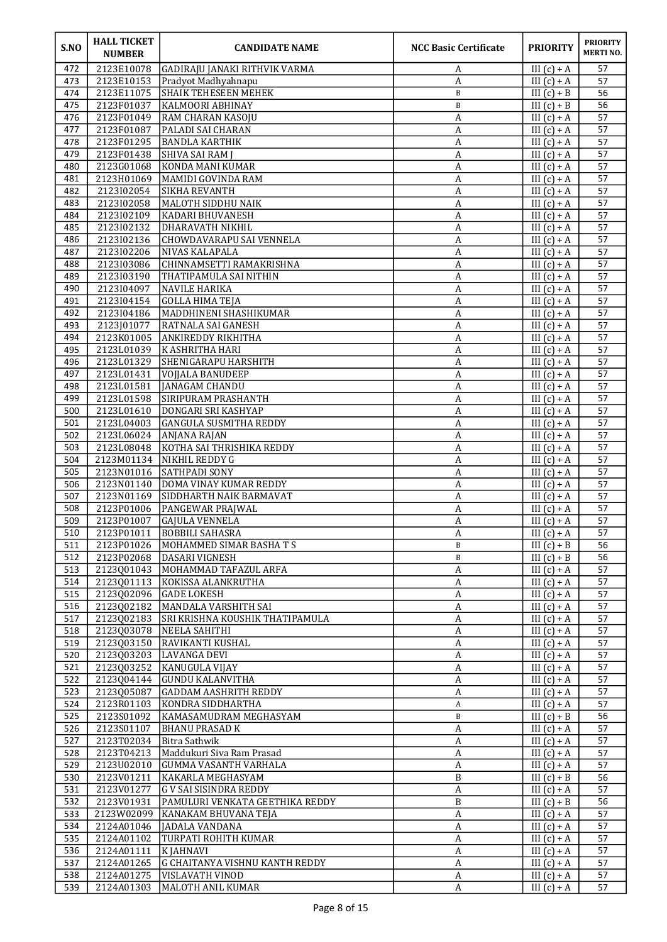| S.NO       | <b>HALL TICKET</b><br><b>NUMBER</b> | <b>CANDIDATE NAME</b>                          | <b>NCC Basic Certificate</b>         | <b>PRIORITY</b>                | <b>PRIORITY</b><br><b>MERTINO.</b> |
|------------|-------------------------------------|------------------------------------------------|--------------------------------------|--------------------------------|------------------------------------|
| 472        | 2123E10078                          | GADIRAJU JANAKI RITHVIK VARMA                  | A                                    | III $(c) + A$                  | 57                                 |
| 473        | 2123E10153                          | Pradyot Madhyahnapu                            | A                                    | III $(c) + A$                  | 57                                 |
| 474        | 2123E11075                          | <b>SHAIK TEHESEEN MEHEK</b>                    | B                                    | $III(c) + B$                   | 56                                 |
| 475<br>476 | 2123F01037<br>2123F01049            | KALMOORI ABHINAY                               | B                                    | $III(c) + B$<br>III $(c) + A$  | 56<br>57                           |
| 477        | 2123F01087                          | RAM CHARAN KASOJU<br>PALADI SAI CHARAN         | A<br>A                               | $III(c) + A$                   | 57                                 |
| 478        | 2123F01295                          | <b>BANDLA KARTHIK</b>                          | A                                    | III $(c) + A$                  | 57                                 |
| 479        | 2123F01438                          | SHIVA SAI RAM J                                | A                                    | III $(c) + A$                  | 57                                 |
| 480        | 2123G01068                          | KONDA MANI KUMAR                               | A                                    | $III(c) + A$                   | 57                                 |
| 481        | 2123H01069                          | MAMIDI GOVINDA RAM                             | A                                    | III $(c) + A$                  | 57                                 |
| 482        | 2123102054                          | SIKHA REVANTH                                  | A                                    | $III(c) + A$                   | 57                                 |
| 483        | 2123102058                          | MALOTH SIDDHU NAIK                             | $\boldsymbol{A}$                     | $III(c) + A$                   | 57                                 |
| 484        | 2123102109                          | <b>KADARI BHUVANESH</b>                        | А                                    | III $(c) + A$                  | 57                                 |
| 485        | 2123102132                          | DHARAVATH NIKHIL                               | A                                    | III $(c) + A$                  | 57                                 |
| 486        | 2123102136                          | CHOWDAVARAPU SAI VENNELA                       | A                                    | III $(c) + A$                  | 57                                 |
| 487        | 2123102206                          | <b>NIVAS KALAPALA</b>                          | A                                    | III $(c) + A$                  | $\overline{57}$                    |
| 488        | 2123103086                          | CHINNAMSETTI RAMAKRISHNA                       | A                                    | $III(c) + A$                   | 57                                 |
| 489        | 2123103190                          | THATIPAMULA SAI NITHIN                         | A                                    | $III(c) + A$                   | 57                                 |
| 490<br>491 | 2123104097<br>2123104154            | <b>NAVILE HARIKA</b><br><b>GOLLA HIMA TEJA</b> | A<br>A                               | III $(c) + A$<br>III $(c) + A$ | 57<br>57                           |
| 492        | 2123104186                          | MADDHINENI SHASHIKUMAR                         | $\boldsymbol{A}$                     | III $(c) + A$                  | 57                                 |
| 493        | 2123J01077                          | RATNALA SAI GANESH                             | $\boldsymbol{A}$                     | III $(c) + A$                  | 57                                 |
| 494        | 2123K01005                          | <b>ANKIREDDY RIKHITHA</b>                      | $\boldsymbol{A}$                     | III $(c) + A$                  | 57                                 |
| 495        | 2123L01039                          | K ASHRITHA HARI                                | A                                    | III $(c) + A$                  | 57                                 |
| 496        | 2123L01329                          | <b>SHENIGARAPU HARSHITH</b>                    | A                                    | $III(c) + A$                   | 57                                 |
| 497        | 2123L01431                          | VOJJALA BANUDEEP                               | A                                    | $III(c) + A$                   | 57                                 |
| 498        | 2123L01581                          | JANAGAM CHANDU                                 | A                                    | III $(c) + A$                  | 57                                 |
| 499        | 2123L01598                          | <b>SIRIPURAM PRASHANTH</b>                     | A                                    | III $(c) + A$                  | $\overline{57}$                    |
| 500        | 2123L01610                          | DONGARI SRI KASHYAP                            | A                                    | III $(c) + A$                  | 57                                 |
| 501        | 2123L04003                          | GANGULA SUSMITHA REDDY                         | A                                    | III $(c) + A$                  | 57                                 |
| 502        | 2123L06024                          | ANJANA RAJAN                                   | A                                    | III $(c) + A$                  | 57                                 |
| 503        | 2123L08048                          | KOTHA SAI THRISHIKA REDDY                      | $\boldsymbol{A}$                     | III $(c) + A$                  | 57                                 |
| 504        | 2123M01134                          | NIKHIL REDDY G                                 | A                                    | $III(c) + A$                   | 57                                 |
| 505<br>506 | 2123N01016<br>2123N01140            | <b>SATHPADI SONY</b><br>DOMA VINAY KUMAR REDDY | $\boldsymbol{A}$<br>$\boldsymbol{A}$ | $III(c) + A$<br>III $(c) + A$  | 57<br>57                           |
| 507        | 2123N01169                          | SIDDHARTH NAIK BARMAVAT                        | A                                    | III $(c) + A$                  | 57                                 |
| 508        | 2123P01006                          | <b>PANGEWAR PRAJWAL</b>                        | A                                    | III $(c) + A$                  | 57                                 |
| 509        | 2123P01007                          | <b>GAJULA VENNELA</b>                          | A                                    | III $(c) + A$                  | 57                                 |
| 510        |                                     | 2123P01011  BOBBILI SAHASRA                    | $\overline{\mathbf{A}}$              | III $(c) + A$                  | 57                                 |
| 511        | 2123P01026                          | MOHAMMED SIMAR BASHATS                         | B                                    | III $(c) + B$                  | 56                                 |
| 512        | 2123P02068                          | <b>DASARI VIGNESH</b>                          | B                                    | III $(c) + B$                  | 56                                 |
| 513        | 2123Q01043                          | MOHAMMAD TAFAZUL ARFA                          | A                                    | III $(c) + A$                  | 57                                 |
| 514        | 2123Q01113                          | KOKISSA ALANKRUTHA                             | A                                    | III $(c) + A$                  | 57                                 |
| 515        | 2123Q02096                          | <b>GADE LOKESH</b>                             | $\boldsymbol{\mathsf{A}}$            | III $(c) + A$                  | 57                                 |
| 516        | 2123Q02182                          | MANDALA VARSHITH SAI                           | $\boldsymbol{\rm{A}}$                | III $(c) + A$                  | 57                                 |
| 517        | 2123Q02183                          | SRI KRISHNA KOUSHIK THATIPAMULA                | A                                    | III $(c) + A$                  | 57                                 |
| 518        | 2123Q03078                          | NEELA SAHITHI                                  | A                                    | III $(c) + A$                  | 57                                 |
| 519        | 2123Q03150                          | RAVIKANTI KUSHAL                               | $\boldsymbol{A}$                     | III $(c) + A$                  | 57                                 |
| 520<br>521 | 2123Q03203<br>2123003252            | LAVANGA DEVI<br>KANUGULA VIJAY                 | $\boldsymbol{\mathsf{A}}$<br>A       | III $(c) + A$<br>III $(c) + A$ | 57<br>57                           |
| 522        | 2123Q04144                          | <b>GUNDU KALANVITHA</b>                        | A                                    | $III(c) + A$                   | 57                                 |
| 523        | 2123Q05087                          | <b>GADDAM AASHRITH REDDY</b>                   | A                                    | III $(c) + A$                  | 57                                 |
| 524        | 2123R01103                          | KONDRA SIDDHARTHA                              | A                                    | III $(c) + A$                  | 57                                 |
| 525        | 2123S01092                          | KAMASAMUDRAM MEGHASYAM                         | $\, {\bf B}$                         | III $(c) + B$                  | 56                                 |
| 526        | 2123S01107                          | <b>BHANU PRASAD K</b>                          | $\overline{A}$                       | III $(c) + A$                  | 57                                 |
| 527        | 2123T02034                          | Bitra Sathwik                                  | $\boldsymbol{\rm{A}}$                | III $(c) + A$                  | 57                                 |
| 528        | 2123T04213                          | Maddukuri Siva Ram Prasad                      | A                                    | III $(c) + A$                  | 57                                 |
| 529        | 2123U02010                          | GUMMA VASANTH VARHALA                          | A                                    | III $(c) + A$                  | 57                                 |
| 530        | 2123V01211                          | KAKARLA MEGHASYAM                              | B                                    | III $(c) + B$                  | 56                                 |
| 531        | 2123V01277                          | G V SAI SISINDRA REDDY                         | $\boldsymbol{\mathsf{A}}$            | III $(c) + A$                  | 57                                 |
| 532        | 2123V01931                          | PAMULURI VENKATA GEETHIKA REDDY                | $\overline{\mathbf{B}}$              | III $(c) + B$                  | 56                                 |
| 533        | 2123W02099                          | KANAKAM BHUVANA TEJA                           | A                                    | III $(c) + A$                  | 57                                 |
| 534<br>535 | 2124A01046                          | JADALA VANDANA                                 | A                                    | III $(c) + A$<br>III $(c) + A$ | 57<br>57                           |
| 536        | 2124A01102<br>2124A01111            | TURPATI ROHITH KUMAR<br>K JAHNAVI              | A<br>A                               | III $(c) + A$                  | 57                                 |
| 537        | 2124A01265                          | G CHAITANYA VISHNU KANTH REDDY                 | A                                    | III $(c) + A$                  | 57                                 |
| 538        | 2124A01275                          | VISLAVATH VINOD                                | A                                    | III $(c) + A$                  | 57                                 |
| 539        | 2124A01303                          | MALOTH ANIL KUMAR                              | A                                    | III $(c) + A$                  | 57                                 |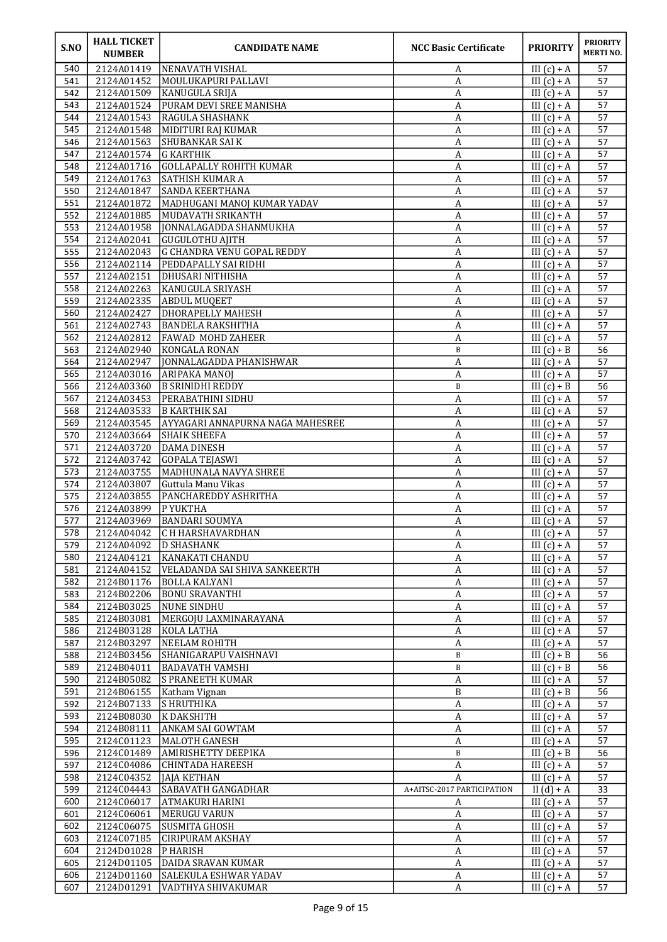| S.NO       | <b>HALL TICKET</b><br><b>NUMBER</b> | <b>CANDIDATE NAME</b>                                            | <b>NCC Basic Certificate</b>                 | <b>PRIORITY</b>                | <b>PRIORITY</b><br><b>MERTINO.</b> |
|------------|-------------------------------------|------------------------------------------------------------------|----------------------------------------------|--------------------------------|------------------------------------|
| 540        | 2124A01419                          | <b>INENAVATH VISHAL</b>                                          | A                                            | III $(c) + A$                  | 57                                 |
| 541        | 2124A01452                          | MOULUKAPURI PALLAVI                                              | A                                            | III $(c) + A$                  | 57                                 |
| 542        | 2124A01509                          | KANUGULA SRIJA                                                   | A                                            | III $(c) + A$                  | 57                                 |
| 543        | 2124A01524                          | PURAM DEVI SREE MANISHA                                          | A                                            | III $(c) + A$                  | 57                                 |
| 544<br>545 | 2124A01543<br>2124A01548            | <b>RAGULA SHASHANK</b><br>MIDITURI RAJ KUMAR                     | A<br>A                                       | III $(c) + A$<br>III $(c) + A$ | 57<br>57                           |
| 546        | 2124A01563                          | <b>SHUBANKAR SAI K</b>                                           | A                                            | III $(c) + A$                  | 57                                 |
| 547        | 2124A01574                          | G KARTHIK                                                        | А                                            | III $(c) + A$                  | 57                                 |
| 548        | 2124A01716                          | <b>GOLLAPALLY ROHITH KUMAR</b>                                   | A                                            | III $(c) + A$                  | 57                                 |
| 549        | 2124A01763                          | <b>SATHISH KUMAR A</b>                                           | A                                            | III $(c) + A$                  | 57                                 |
| 550        | 2124A01847                          | <b>SANDA KEERTHANA</b>                                           | $\boldsymbol{A}$                             | III $(c) + A$                  | 57                                 |
| 551        | 2124A01872                          | MADHUGANI MANOJ KUMAR YADAV                                      | A                                            | III $(c) + A$                  | 57                                 |
| 552        | 2124A01885                          | MUDAVATH SRIKANTH                                                | A                                            | III $(c) + A$                  | 57                                 |
| 553        | 2124A01958                          | JONNALAGADDA SHANMUKHA                                           | A                                            | III $(c) + A$                  | 57                                 |
| 554        | 2124A02041                          | GUGULOTHU AJITH                                                  | A                                            | III $(c) + A$                  | 57                                 |
| 555        | 2124A02043                          | <b>G CHANDRA VENU GOPAL REDDY</b><br><b>PEDDAPALLY SAI RIDHI</b> | A                                            | III $(c) + A$                  | 57                                 |
| 556<br>557 | 2124A02114<br>2124A02151            | DHUSARI NITHISHA                                                 | $\boldsymbol{A}$<br>A                        | $III(c) + A$<br>III $(c) + A$  | 57<br>57                           |
| 558        | 2124A02263                          | KANUGULA SRIYASH                                                 | A                                            | III $(c) + A$                  | 57                                 |
| 559        | 2124A02335                          | <b>ABDUL MUQEET</b>                                              | A                                            | III $(c) + A$                  | 57                                 |
| 560        | 2124A02427                          | <b>DHORAPELLY MAHESH</b>                                         | A                                            | III $(c) + A$                  | 57                                 |
| 561        | 2124A02743                          | <b>BANDELA RAKSHITHA</b>                                         | $\boldsymbol{A}$                             | III $(c) + A$                  | 57                                 |
| 562        | 2124A02812                          | <b>FAWAD MOHD ZAHEER</b>                                         | A                                            | III $(c) + A$                  | 57                                 |
| 563        | 2124A02940                          | KONGALA RONAN                                                    | B                                            | $III(c) + B$                   | 56                                 |
| 564        | 2124A02947                          | JONNALAGADDA PHANISHWAR                                          | А                                            | III $(c) + A$                  | 57                                 |
| 565        | 2124A03016                          | ARIPAKA MANOJ                                                    | A                                            | III $(c) + A$                  | 57                                 |
| 566        | 2124A03360                          | <b>B SRINIDHI REDDY</b>                                          | $\, {\bf B}$                                 | III $(c) + B$                  | 56                                 |
| 567<br>568 | 2124A03453<br>2124A03533            | <b>PERABATHINI SIDHU</b><br><b>B KARTHIK SAI</b>                 | $\boldsymbol{A}$<br>A                        | III $(c) + A$<br>III $(c) + A$ | 57<br>57                           |
| 569        | 2124A03545                          | AYYAGARI ANNAPURNA NAGA MAHESREE                                 | А                                            | III $(c) + A$                  | 57                                 |
| 570        | 2124A03664                          | <b>SHAIK SHEEFA</b>                                              | A                                            | III $(c) + A$                  | 57                                 |
| 571        | 2124A03720                          | <b>DAMA DINESH</b>                                               | $\boldsymbol{A}$                             | III $(c) + A$                  | 57                                 |
| 572        | 2124A03742                          | GOPALA TEJASWI                                                   | A                                            | III $(c) + A$                  | 57                                 |
| 573        | 2124A03755                          | MADHUNALA NAVYA SHREE                                            | A                                            | III $(c) + A$                  | 57                                 |
| 574        | 2124A03807                          | Guttula Manu Vikas                                               | A                                            | III $(c) + A$                  | 57                                 |
| 575        | 2124A03855                          | PANCHAREDDY ASHRITHA                                             | А                                            | III $(c) + A$                  | 57                                 |
| 576<br>577 | 2124A03899<br>2124A03969            | <b>PYUKTHA</b><br><b>BANDARI SOUMYA</b>                          | A<br>A                                       | III $(c) + A$<br>III $(c) + A$ | 57<br>57                           |
| 578        |                                     | 2124A04042 CH HARSHAVARDHAN                                      | $\boldsymbol{\mathsf{A}}$                    | III $(c) + A$                  | 57                                 |
| 579        | 2124A04092                          | D SHASHANK                                                       | A                                            | III $(c) + A$                  | 57                                 |
| 580        | 2124A04121                          | KANAKATI CHANDU                                                  | A                                            | $III(c) + A$                   | 57                                 |
| 581        | 2124A04152                          | VELADANDA SAI SHIVA SANKEERTH                                    | $\boldsymbol{A}$                             | III $(c) + A$                  | 57                                 |
| 582        | 2124B01176                          | <b>BOLLA KALYANI</b>                                             | $\boldsymbol{A}$                             | III $(c) + A$                  | 57                                 |
| 583        | 2124B02206                          | <b>BONU SRAVANTHI</b>                                            | A                                            | III $(c) + A$                  | 57                                 |
| 584        | 2124B03025                          | NUNE SINDHU                                                      | $\boldsymbol{A}$                             | III $(c) + A$                  | 57                                 |
| 585        | 2124B03081                          | MERGOJU LAXMINARAYANA                                            | A                                            | III $(c) + A$                  | 57                                 |
| 586        | 2124B03128                          | KOLA LATHA                                                       | A                                            | III $(c) + A$                  | 57                                 |
| 587        | 2124B03297<br>2124B03456            | NEELAM ROHITH<br>SHANIGARAPU VAISHNAVI                           | A<br>$\, {\bf B}$                            | III $(c) + A$<br>III $(c) + B$ | 57<br>$\overline{56}$              |
| 588<br>589 | 2124B04011                          | <b>BADAVATH VAMSHI</b>                                           | B                                            | III $(c) + B$                  | 56                                 |
| 590        | 2124B05082                          | <b>S PRANEETH KUMAR</b>                                          | A                                            | III $(c) + A$                  | 57                                 |
| 591        | 2124B06155                          | Katham Vignan                                                    | B                                            | III $(c) + B$                  | 56                                 |
| 592        | 2124B07133                          | S HRUTHIKA                                                       | A                                            | III $(c) + A$                  | 57                                 |
| 593        | 2124B08030                          | K DAKSHITH                                                       | $\boldsymbol{A}$                             | III $(c) + A$                  | 57                                 |
| 594        | 2124B08111                          | ANKAM SAI GOWTAM                                                 | A                                            | III $(c) + A$                  | 57                                 |
| 595        | 2124C01123                          | MALOTH GANESH                                                    | A                                            | III $(c) + A$                  | 57                                 |
| 596        | 2124C01489                          | <b>AMIRISHETTY DEEPIKA</b>                                       | B                                            | III $(c) + B$                  | 56                                 |
| 597        | 2124C04086                          | CHINTADA HAREESH                                                 | A                                            | III $(c) + A$                  | 57                                 |
| 598<br>599 | 2124C04352<br>2124C04443            | JAJA KETHAN<br>SABAVATH GANGADHAR                                | $\overline{A}$<br>A+AITSC-2017 PARTICIPATION | III $(c) + A$<br>II $(d) + A$  | 57<br>33                           |
| 600        | 2124C06017                          | ATMAKURI HARINI                                                  | A                                            | III $\overline{(c)+A}$         | 57                                 |
| 601        | 2124C06061                          | MERUGU VARUN                                                     | A                                            | III $(c) + A$                  | 57                                 |
| 602        | 2124C06075                          | SUSMITA GHOSH                                                    | A                                            | III $(c) + A$                  | 57                                 |
| 603        | 2124C07185                          | <b>CIRIPURAM AKSHAY</b>                                          | A                                            | III $(c) + A$                  | 57                                 |
| 604        | 2124D01028                          | P HARISH                                                         | $\boldsymbol{A}$                             | III $(c) + A$                  | 57                                 |
| 605        | 2124D01105                          | <b>DAIDA SRAVAN KUMAR</b>                                        | A                                            | III $(c) + A$                  | 57                                 |
| 606        | 2124D01160                          | <b>SALEKULA ESHWAR YADAV</b>                                     | A                                            | III $(c) + A$                  | 57                                 |
| 607        | 2124D01291                          | VADTHYA SHIVAKUMAR                                               | A                                            | III $(c) + A$                  | 57                                 |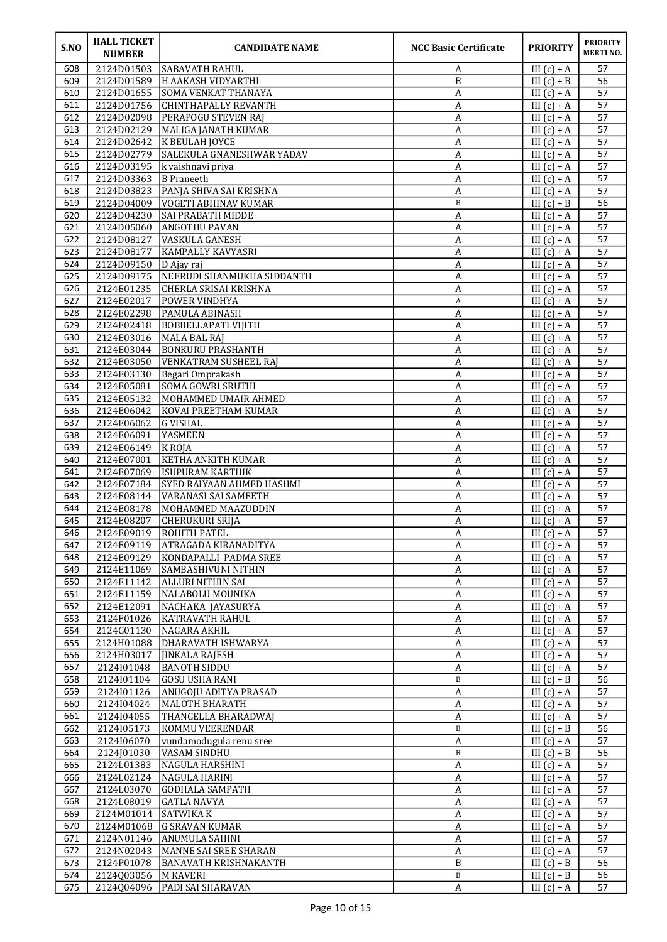| S.NO       | <b>HALL TICKET</b><br><b>NUMBER</b> | <b>CANDIDATE NAME</b>                              | <b>NCC Basic Certificate</b> | <b>PRIORITY</b>                | <b>PRIORITY</b><br><b>MERTINO.</b> |
|------------|-------------------------------------|----------------------------------------------------|------------------------------|--------------------------------|------------------------------------|
| 608        | 2124D01503                          | SABAVATH RAHUL                                     | A                            | III $(c) + A$                  | 57                                 |
| 609        | 2124D01589                          | H AAKASH VIDYARTHI                                 | B                            | III $(c) + B$                  | 56                                 |
| 610        | 2124D01655                          | <b>SOMA VENKAT THANAYA</b>                         | A                            | III $(c) + A$                  | 57                                 |
| 611<br>612 | 2124D01756<br>2124D02098            | CHINTHAPALLY REVANTH<br><b>PERAPOGU STEVEN RAJ</b> | A<br>A                       | III $(c) + A$<br>III $(c) + A$ | 57<br>57                           |
| 613        | 2124D02129                          | MALIGA JANATH KUMAR                                | A                            | III $(c) + A$                  | 57                                 |
| 614        | 2124D02642                          | K BEULAH JOYCE                                     | A                            | III $(c) + A$                  | 57                                 |
| 615        | 2124D02779                          | <b>SALEKULA GNANESHWAR YADAV</b>                   | A                            | III $(c) + A$                  | 57                                 |
| 616        | 2124D03195                          | k vaishnavi priya                                  | A                            | III $(c) + A$                  | 57                                 |
| 617        | 2124D03363                          | B Praneeth                                         | A                            | III $(c) + A$                  | 57                                 |
| 618        | 2124D03823                          | PANJA SHIVA SAI KRISHNA                            | A                            | III $(c) + A$                  | 57                                 |
| 619<br>620 | 2124D04009<br>2124D04230            | VOGETI ABHINAV KUMAR<br>SAI PRABATH MIDDE          | B                            | III $(c) + B$<br>III $(c) + A$ | 56<br>57                           |
| 621        | 2124D05060                          | ANGOTHU PAVAN                                      | A<br>A                       | III $(c) + A$                  | 57                                 |
| 622        | 2124D08127                          | <b>VASKULA GANESH</b>                              | A                            | III $(c) + A$                  | 57                                 |
| 623        | 2124D08177                          | KAMPALLY KAVYASRI                                  | A                            | III $(c) + A$                  | 57                                 |
| 624        | 2124D09150                          | D Ajay raj                                         | A                            | III $(c) + A$                  | 57                                 |
| 625        | 2124D09175                          | NEERUDI SHANMUKHA SIDDANTH                         | A                            | III $(c) + A$                  | 57                                 |
| 626        | 2124E01235                          | CHERLA SRISAI KRISHNA                              | A                            | III $(c) + A$                  | 57                                 |
| 627<br>628 | 2124E02017                          | POWER VINDHYA<br><b>PAMULA ABINASH</b>             | A                            | III $(c) + A$                  | 57<br>57                           |
| 629        | 2124E02298<br>2124E02418            | <b>BOBBELLAPATI VIJITH</b>                         | A<br>A                       | III $(c) + A$<br>III $(c) + A$ | 57                                 |
| 630        | 2124E03016                          | MALA BAL RAI                                       | A                            | III $(c) + A$                  | 57                                 |
| 631        | 2124E03044                          | <b>BONKURU PRASHANTH</b>                           | A                            | III $(c) + A$                  | 57                                 |
| 632        | 2124E03050                          | <b>VENKATRAM SUSHEEL RAJ</b>                       | A                            | III $(c) + A$                  | 57                                 |
| 633        | 2124E03130                          | Begari Omprakash                                   | A                            | III $(c) + A$                  | 57                                 |
| 634        | 2124E05081                          | SOMA GOWRI SRUTHI                                  | A                            | III $(c) + A$                  | 57                                 |
| 635        | 2124E05132                          | MOHAMMED UMAIR AHMED                               | A                            | III $(c) + A$                  | 57                                 |
| 636<br>637 | 2124E06042<br>2124E06062            | KOVAI PREETHAM KUMAR<br><b>G VISHAL</b>            | A<br>A                       | III $(c) + A$<br>III $(c) + A$ | 57<br>57                           |
| 638        | 2124E06091                          | YASMEEN                                            | A                            | III $(c) + A$                  | 57                                 |
| 639        | 2124E06149                          | <b>K</b> ROJA                                      | A                            | III $(c) + A$                  | 57                                 |
| 640        | 2124E07001                          | KETHA ANKITH KUMAR                                 | A                            | III $(c) + A$                  | $\overline{57}$                    |
| 641        | 2124E07069                          | ISUPURAM KARTHIK                                   | A                            | III $(c) + A$                  | 57                                 |
| 642        | 2124E07184                          | <b>SYED RAIYAAN AHMED HASHMI</b>                   | A                            | III $(c) + A$                  | 57                                 |
| 643        | 2124E08144                          | VARANASI SAI SAMEETH                               | A                            | III $(c) + A$                  | 57                                 |
| 644<br>645 | 2124E08178<br>2124E08207            | MOHAMMED MAAZUDDIN<br>CHERUKURI SRIJA              | A<br>A                       | III $(c) + A$<br>III $(c) + A$ | 57<br>57                           |
| 646        |                                     | 2124E09019 ROHITH PATEL                            | $\boldsymbol{A}$             | III $(c) + A$                  | 57                                 |
| 647        | 2124E09119                          | <b>ATRAGADA KIRANADITYA</b>                        | A                            | III $(c) + A$                  | 57                                 |
| 648        | 2124E09129                          | KONDAPALLI PADMA SREE                              | A                            | III $(c) + A$                  | 57                                 |
| 649        | 2124E11069                          | SAMBASHIVUNI NITHIN                                | A                            | III $(c) + A$                  | 57                                 |
| 650        | 2124E11142                          | ALLURI NITHIN SAI                                  | $\boldsymbol{A}$             | III $(c) + A$                  | 57                                 |
| 651        | 2124E11159                          | NALABOLU MOUNIKA                                   | $\boldsymbol{A}$             | III $(c) + A$                  | 57                                 |
| 652<br>653 | 2124E12091<br>2124F01026            | NACHAKA JAYASURYA<br>KATRAVATH RAHUL               | $\boldsymbol{A}$<br>A        | III $(c) + A$<br>III $(c) + A$ | 57<br>57                           |
| 654        | 2124G01130                          | NAGARA AKHIL                                       | A                            | III $(c) + A$                  | 57                                 |
| 655        | 2124H01088                          | DHARAVATH ISHWARYA                                 | A                            | III $(c) + A$                  | 57                                 |
| 656        | 2124H03017                          | JINKALA RAJESH                                     | $\mathbf{A}$                 | III $(c) + A$                  | 57                                 |
| 657        | 2124I01048                          | <b>BANOTH SIDDU</b>                                | $\boldsymbol{A}$             | III $(c) + A$                  | 57                                 |
| 658        | 2124I01104                          | GOSU USHA RANI                                     | B                            | III $(c) + B$                  | 56                                 |
| 659        | 2124I01126                          | ANUGOJU ADITYA PRASAD                              | A                            | III $(c) + A$                  | 57                                 |
| 660<br>661 | 2124I04024<br>2124I04055            | MALOTH BHARATH<br>THANGELLA BHARADWAJ              | A<br>A                       | III $(c) + A$<br>III $(c) + A$ | 57<br>57                           |
| 662        | 2124I05173                          | KOMMU VEERENDAR                                    | $\, {\bf B}$                 | III $\overline{(c)+B}$         | 56                                 |
| 663        | 2124I06070                          | vundamodugula renu sree                            | A                            | III $(c) + A$                  | 57                                 |
| 664        | 2124J01030                          | VASAM SINDHU                                       | $\, {\bf B}$                 | III $(c) + B$                  | 56                                 |
| 665        | 2124L01383                          | NAGULA HARSHINI                                    | A                            | III $(c) + A$                  | 57                                 |
| 666        | 2124L02124                          | NAGULA HARINI                                      | A                            | III $(c) + A$                  | 57                                 |
| 667        | 2124L03070                          | GODHALA SAMPATH                                    | $\boldsymbol{A}$             | III $(c) + A$                  | 57                                 |
| 668<br>669 | 2124L08019<br>2124M01014            | GATLA NAVYA<br><b>SATWIKA K</b>                    | A<br>A                       | III $(c) + A$<br>III $(c) + A$ | 57<br>57                           |
| 670        | 2124M01068                          | <b>G SRAVAN KUMAR</b>                              | A                            | III $(c) + A$                  | 57                                 |
| 671        | 2124N01146                          | ANUMULA SAHINI                                     | A                            | III $(c) + A$                  | 57                                 |
| 672        | 2124N02043                          | MANNE SAI SREE SHARAN                              | A                            | III $(c) + A$                  | 57                                 |
| 673        | 2124P01078                          | BANAVATH KRISHNAKANTH                              | $\, {\bf B}$                 | III $(c) + B$                  | 56                                 |
| 674        | 2124Q03056                          | M KAVERI                                           | $\, {\bf B}$                 | III $(c) + B$                  | 56                                 |
| 675        | 2124Q04096                          | <b>PADI SAI SHARAVAN</b>                           | A                            | III $(c) + A$                  | 57                                 |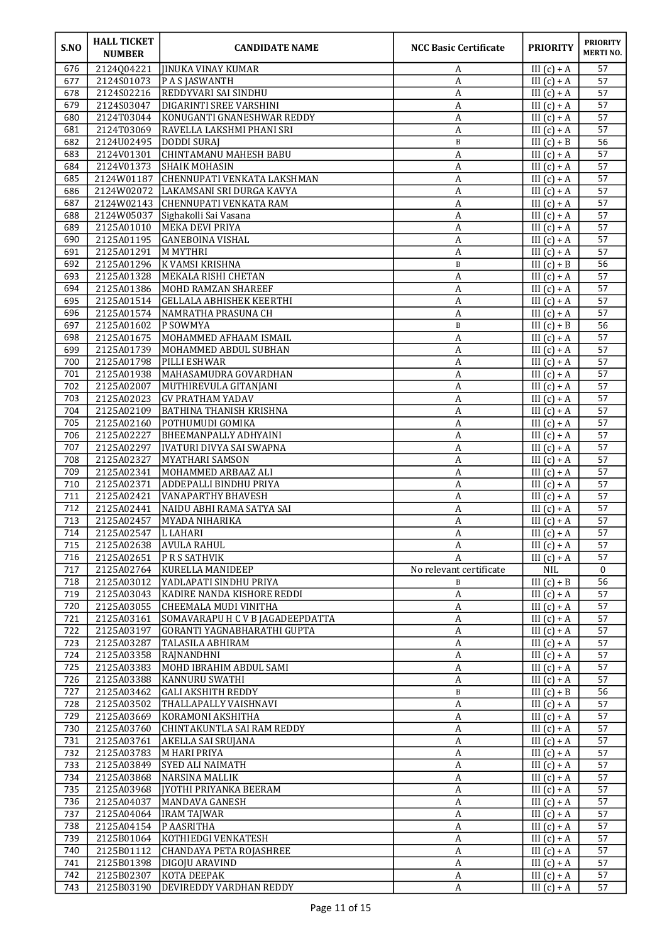| S.NO       | <b>HALL TICKET</b><br><b>NUMBER</b> | <b>CANDIDATE NAME</b>                                        | <b>NCC Basic Certificate</b>   | <b>PRIORITY</b>                | <b>PRIORITY</b><br><b>MERTINO.</b> |
|------------|-------------------------------------|--------------------------------------------------------------|--------------------------------|--------------------------------|------------------------------------|
| 676        | 2124Q04221                          | <b>JIINUKA VINAY KUMAR</b>                                   | A                              | III $(c) + A$                  | 57                                 |
| 677        | 2124S01073                          | P A S JASWANTH                                               | A                              | III $(c) + A$                  | 57                                 |
| 678        | 2124S02216                          | <b>REDDYVARI SAI SINDHU</b>                                  | А                              | III $(c) + A$                  | 57                                 |
| 679<br>680 | 2124S03047<br>2124T03044            | <b>DIGARINTI SREE VARSHINI</b><br>KONUGANTI GNANESHWAR REDDY | A<br>A                         | III $(c) + A$<br>III $(c) + A$ | 57<br>57                           |
| 681        | 2124T03069                          | RAVELLA LAKSHMI PHANI SRI                                    | A                              | $III(c) + A$                   | 57                                 |
| 682        | 2124U02495                          | <b>DODDI SURAJ</b>                                           | $\, {\bf B}$                   | III $(c) + B$                  | 56                                 |
| 683        | 2124V01301                          | CHINTAMANU MAHESH BABU                                       | A                              | III $(c) + A$                  | 57                                 |
| 684        | 2124V01373                          | <b>SHAIK MOHASIN</b>                                         | A                              | III $(c) + A$                  | 57                                 |
| 685        | 2124W01187                          | <b>CHENNUPATI VENKATA LAKSHMAN</b>                           | A                              | III $(c) + A$                  | 57                                 |
| 686        | 2124W02072                          | LAKAMSANI SRI DURGA KAVYA                                    | А                              | III $(c) + A$                  | 57                                 |
| 687        | 2124W02143                          | <b>CHENNUPATI VENKATA RAM</b>                                | $\boldsymbol{A}$               | III $(c) + A$                  | 57                                 |
| 688<br>689 | 2124W05037<br>2125A01010            | Sighakolli Sai Vasana<br>MEKA DEVI PRIYA                     | А                              | III $(c) + A$<br>III $(c) + A$ | 57<br>57                           |
| 690        | 2125A01195                          | <b>GANEBOINA VISHAL</b>                                      | A<br>A                         | III $(c) + A$                  | 57                                 |
| 691        | 2125A01291                          | <b>MMYTHRI</b>                                               | A                              | III $(c) + A$                  | $\overline{57}$                    |
| 692        | 2125A01296                          | K VAMSI KRISHNA                                              | $\, {\bf B}$                   | III $(c) + B$                  | 56                                 |
| 693        | 2125A01328                          | <b>MEKALA RISHI CHETAN</b>                                   | A                              | III $(c) + A$                  | 57                                 |
| 694        | 2125A01386                          | MOHD RAMZAN SHAREEF                                          | A                              | III $(c) + A$                  | 57                                 |
| 695        | 2125A01514                          | GELLALA ABHISHEK KEERTHI                                     | A                              | III $(c) + A$                  | 57                                 |
| 696        | 2125A01574                          | NAMRATHA PRASUNA CH                                          | A                              | III $(c) + A$                  | 57                                 |
| 697<br>698 | 2125A01602<br>2125A01675            | P SOWMYA<br>MOHAMMED AFHAAM ISMAIL                           | B<br>A                         | III $(c) + B$<br>III $(c) + A$ | 56<br>57                           |
| 699        | 2125A01739                          | MOHAMMED ABDUL SUBHAN                                        | A                              | III $(c) + A$                  | 57                                 |
| 700        | 2125A01798                          | PILLI ESHWAR                                                 | A                              | III $(c) + A$                  | 57                                 |
| 701        | 2125A01938                          | MAHASAMUDRA GOVARDHAN                                        | A                              | III $(c) + A$                  | 57                                 |
| 702        | 2125A02007                          | MUTHIREVULA GITANJANI                                        | A                              | III $(c) + A$                  | 57                                 |
| 703        | 2125A02023                          | <b>GV PRATHAM YADAV</b>                                      | A                              | III $(c) + A$                  | 57                                 |
| 704        | 2125A02109                          | BATHINA THANISH KRISHNA                                      | A                              | III $(c) + A$                  | 57                                 |
| 705        | 2125A02160                          | POTHUMUDI GOMIKA                                             | A                              | III $(c) + A$                  | 57                                 |
| 706<br>707 | 2125A02227<br>2125A02297            | <b>BHEEMANPALLY ADHYAINI</b><br>IVATURI DIVYA SAI SWAPNA     | A<br>$\boldsymbol{A}$          | III $(c) + A$<br>III $(c) + A$ | 57<br>57                           |
| 708        | 2125A02327                          | MYATHARI SAMSON                                              | $\boldsymbol{A}$               | III $(c) + A$                  | 57                                 |
| 709        | 2125A02341                          | MOHAMMED ARBAAZ ALI                                          | $\boldsymbol{A}$               | $III(c) + A$                   | 57                                 |
| 710        | 2125A02371                          | <b>ADDEPALLI BINDHU PRIYA</b>                                | $\boldsymbol{A}$               | III $(c) + A$                  | 57                                 |
| 711        | 2125A02421                          | <b>VANAPARTHY BHAVESH</b>                                    | A                              | III $(c) + A$                  | 57                                 |
| 712        | 2125A02441                          | NAIDU ABHI RAMA SATYA SAI                                    | A                              | III $(c) + A$                  | 57                                 |
| 713        | 2125A02457                          | MYADA NIHARIKA                                               | A                              | III $(c) + A$                  | 57                                 |
| 714<br>715 | 2125A02547 L LAHARI<br>2125A02638   | <b>AVULA RAHUL</b>                                           | $\boldsymbol{\mathsf{A}}$<br>A | III $(c) + A$<br>III $(c) + A$ | 57<br>57                           |
| 716        | 2125A02651                          | PRS SATHVIK                                                  | A                              | $III(c) + A$                   | 57                                 |
| 717        | 2125A02764                          | KURELLA MANIDEEP                                             | No relevant certificate        | <b>NIL</b>                     | 0                                  |
| 718        | 2125A03012                          | YADLAPATI SINDHU PRIYA                                       | B                              | III $(c) + B$                  | 56                                 |
| 719        | 2125A03043                          | KADIRE NANDA KISHORE REDDI                                   | $\boldsymbol{A}$               | III $(c) + A$                  | 57                                 |
| 720        | 2125A03055                          | CHEEMALA MUDI VINITHA                                        | $\overline{\mathbf{A}}$        | III $(c) + A$                  | 57                                 |
| 721        | 2125A03161                          | SOMAVARAPU H C V B JAGADEEPDATTA                             | A                              | III $(c) + A$                  | 57                                 |
| 722        | 2125A03197<br>2125A03287            | GORANTI YAGNABHARATHI GUPTA<br>TALASILA ABHIRAM              | A<br>$\boldsymbol{A}$          | III $(c) + A$<br>III $(c) + A$ | 57                                 |
| 723<br>724 | 2125A03358                          | RAJNANDHNI                                                   | $\boldsymbol{\mathsf{A}}$      | III $(c) + A$                  | 57<br>57                           |
| 725        | 2125A03383                          | MOHD IBRAHIM ABDUL SAMI                                      | A                              | III $(c) + A$                  | 57                                 |
| 726        | 2125A03388                          | KANNURU SWATHI                                               | $\boldsymbol{A}$               | $III(c) + A$                   | 57                                 |
| 727        | 2125A03462                          | <b>GALI AKSHITH REDDY</b>                                    | B                              | III $(c) + B$                  | 56                                 |
| 728        | 2125A03502                          | THALLAPALLY VAISHNAVI                                        | A                              | III $(c) + A$                  | 57                                 |
| 729        | 2125A03669                          | KORAMONI AKSHITHA                                            | A                              | III $(c) + A$                  | 57                                 |
| 730        | 2125A03760                          | CHINTAKUNTLA SAI RAM REDDY                                   | $\overline{A}$                 | III $(c) + A$                  | 57                                 |
| 731<br>732 | 2125A03761<br>2125A03783            | AKELLA SAI SRUJANA<br>M HARI PRIYA                           | $\boldsymbol{A}$               | III $(c) + A$<br>III $(c) + A$ | 57<br>57                           |
| 733        | 2125A03849                          | <b>SYED ALI NAIMATH</b>                                      | A<br>A                         | III $(c) + A$                  | 57                                 |
| 734        | 2125A03868                          | NARSINA MALLIK                                               | A                              | III $(c) + A$                  | 57                                 |
| 735        | 2125A03968                          | JYOTHI PRIYANKA BEERAM                                       | $\boldsymbol{\mathsf{A}}$      | III $(c) + A$                  | 57                                 |
| 736        | 2125A04037                          | MANDAVA GANESH                                               | $\boldsymbol{A}$               | III $(c) + A$                  | 57                                 |
| 737        | 2125A04064                          | <b>IRAM TAJWAR</b>                                           | A                              | III $(c) + A$                  | 57                                 |
| 738        | 2125A04154                          | P AASRITHA                                                   | A                              | III $(c) + A$                  | 57                                 |
| 739<br>740 | 2125B01064                          | KOTHIEDGI VENKATESH                                          | A                              | III $(c) + A$                  | 57<br>57                           |
| 741        | 2125B01112<br>2125B01398            | CHANDAYA PETA ROJASHREE<br>DIGOJU ARAVIND                    | $\boldsymbol{A}$<br>A          | III $(c) + A$<br>III $(c) + A$ | 57                                 |
| 742        | 2125B02307                          | KOTA DEEPAK                                                  | $\boldsymbol{A}$               | III $(c) + A$                  | 57                                 |
| 743        | 2125B03190                          | DEVIREDDY VARDHAN REDDY                                      | A                              | III $(c) + A$                  | 57                                 |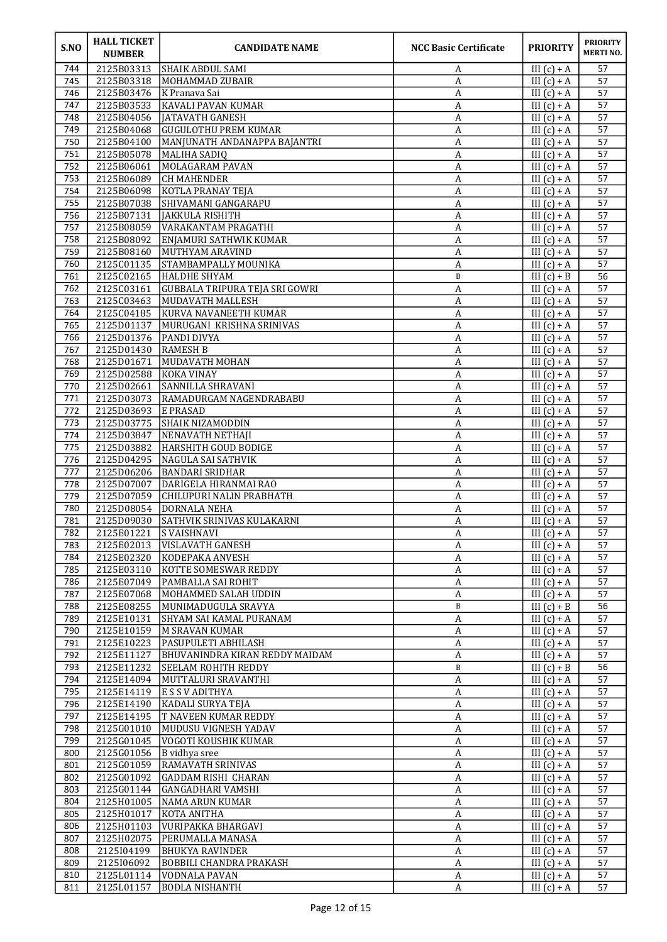| S.NO       | <b>HALL TICKET</b><br><b>NUMBER</b> | <b>CANDIDATE NAME</b>                                        | <b>NCC Basic Certificate</b> | <b>PRIORITY</b>                | <b>PRIORITY</b><br><b>MERTINO.</b> |
|------------|-------------------------------------|--------------------------------------------------------------|------------------------------|--------------------------------|------------------------------------|
| 744        | 2125B03313                          | SHAIK ABDUL SAMI                                             | A                            | III $(c) + A$                  | 57                                 |
| 745        | 2125B03318                          | MOHAMMAD ZUBAIR                                              | A                            | III $(c) + A$                  | 57                                 |
| 746        | 2125B03476                          | K Pranava Sai                                                | A                            | III $(c) + A$                  | 57                                 |
| 747<br>748 | 2125B03533<br>2125B04056            | <b>KAVALI PAVAN KUMAR</b><br>JATAVATH GANESH                 | A<br>A                       | III $(c) + A$<br>III $(c) + A$ | 57<br>57                           |
| 749        | 2125B04068                          | GUGULOTHU PREM KUMAR                                         | A                            | III $(c) + A$                  | 57                                 |
| 750        | 2125B04100                          | MANJUNATH ANDANAPPA BAJANTRI                                 | A                            | III $(c) + A$                  | 57                                 |
| 751        | 2125B05078                          | MALIHA SADIQ                                                 | А                            | III $(c) + A$                  | 57                                 |
| 752        | 2125B06061                          | MOLAGARAM PAVAN                                              | A                            | III $(c) + A$                  | 57                                 |
| 753        | 2125B06089                          | <b>CH MAHENDER</b>                                           | A                            | III $(c) + A$                  | 57                                 |
| 754        | 2125B06098                          | KOTLA PRANAY TEJA                                            | A                            | III $(c) + A$                  | 57                                 |
| 755        | 2125B07038                          | SHIVAMANI GANGARAPU                                          | A                            | III $(c) + A$                  | 57                                 |
| 756<br>757 | 2125B07131<br>2125B08059            | JAKKULA RISHITH<br>VARAKANTAM PRAGATHI                       | A                            | III $(c) + A$<br>III $(c) + A$ | 57<br>57                           |
| 758        | 2125B08092                          | ENJAMURI SATHWIK KUMAR                                       | A<br>$\boldsymbol{A}$        | III $(c) + A$                  | 57                                 |
| 759        | 2125B08160                          | MUTHYAM ARAVIND                                              | $\boldsymbol{A}$             | III $(c) + A$                  | 57                                 |
| 760        | 2125C01135                          | STAMBAMPALLY MOUNIKA                                         | $\boldsymbol{A}$             | $III(c) + A$                   | 57                                 |
| 761        | 2125C02165                          | <b>HALDHE SHYAM</b>                                          | B                            | III $(c) + \overline{B}$       | 56                                 |
| 762        | 2125C03161                          | GUBBALA TRIPURA TEJA SRI GOWRI                               | A                            | III $(c) + A$                  | 57                                 |
| 763        | 2125C03463                          | MUDAVATH MALLESH                                             | A                            | III $(c) + A$                  | 57                                 |
| 764        | 2125C04185                          | KURVA NAVANEETH KUMAR                                        | A                            | III $(c) + A$                  | 57                                 |
| 765<br>766 | 2125D01137<br>2125D01376            | MURUGANI KRISHNA SRINIVAS<br><b>PANDI DIVYA</b>              | $\boldsymbol{A}$             | III $(c) + A$                  | 57<br>57                           |
| 767        | 2125D01430                          | <b>RAMESH B</b>                                              | A<br>A                       | III $(c) + A$<br>III $(c) + A$ | 57                                 |
| 768        | 2125D01671                          | MUDAVATH MOHAN                                               | A                            | III $(c) + A$                  | 57                                 |
| 769        | 2125D02588                          | KOKA VINAY                                                   | A                            | III $(c) + A$                  | 57                                 |
| 770        | 2125D02661                          | <b>SANNILLA SHRAVANI</b>                                     | $\boldsymbol{A}$             | III $(c) + A$                  | 57                                 |
| 771        | 2125D03073                          | RAMADURGAM NAGENDRABABU                                      | $\boldsymbol{A}$             | III $(c) + A$                  | 57                                 |
| 772        | 2125D03693                          | <b>E PRASAD</b>                                              | A                            | III $(c) + A$                  | 57                                 |
| 773        | 2125D03775                          | <b>SHAIK NIZAMODDIN</b>                                      | А                            | III $(c) + A$                  | 57                                 |
| 774        | 2125D03847<br>2125D03882            | NENAVATH NETHAJI<br><b>HARSHITH GOUD BODIGE</b>              | A                            | III $(c) + A$                  | 57                                 |
| 775<br>776 | 2125D04295                          | NAGULA SAI SATHVIK                                           | $\boldsymbol{A}$<br>A        | III $(c) + A$<br>III $(c) + A$ | 57<br>57                           |
| 777        | 2125D06206                          | <b>BANDARI SRIDHAR</b>                                       | $\boldsymbol{A}$             | $III(c) + A$                   | 57                                 |
| 778        | 2125D07007                          | DARIGELA HIRANMAI RAO                                        | A                            | III $(c) + A$                  | 57                                 |
| 779        | 2125D07059                          | CHILUPURI NALIN PRABHATH                                     | А                            | III $(c) + A$                  | 57                                 |
| 780        | 2125D08054                          | DORNALA NEHA                                                 | A                            | III $(c) + A$                  | 57                                 |
| 781        | 2125D09030                          | SATHVIK SRINIVAS KULAKARNI                                   | A                            | III $(c) + A$                  | 57                                 |
| 782        | 2125E01221 S VAISHNAVI              |                                                              | $\boldsymbol{\mathsf{A}}$    | III $(c) + A$                  | 57                                 |
| 783<br>784 | 2125E02013<br>2125E02320            | <b>VISLAVATH GANESH</b><br>KODEPAKA ANVESH                   | A<br>A                       | III $(c) + A$<br>III $(c) + A$ | 57<br>57                           |
| 785        | 2125E03110                          | <b>KOTTE SOMESWAR REDDY</b>                                  | $\boldsymbol{A}$             | III $(c) + A$                  | 57                                 |
| 786        | 2125E07049                          | PAMBALLA SAI ROHIT                                           | $\boldsymbol{A}$             | III $(c) + A$                  | 57                                 |
| 787        | 2125E07068                          | MOHAMMED SALAH UDDIN                                         | $\boldsymbol{A}$             | III $(c) + A$                  | 57                                 |
| 788        | 2125E08255                          | MUNIMADUGULA SRAVYA                                          | $\, {\bf B}$                 | III $(c) + B$                  | 56                                 |
| 789        | 2125E10131                          | <b>SHYAM SAI KAMAL PURANAM</b>                               | A                            | III $(c) + A$                  | 57                                 |
| 790        | 2125E10159                          | M SRAVAN KUMAR                                               | A                            | III $(c) + A$                  | 57                                 |
| 791        | 2125E10223                          | <b>PASUPULETI ABHILASH</b>                                   | A                            | III $(c) + A$                  | 57                                 |
| 792<br>793 | 2125E11127<br>2125E11232            | BHUVANINDRA KIRAN REDDY MAIDAM<br><b>SEELAM ROHITH REDDY</b> | A<br>$\, {\bf B}$            | III $(c) + A$<br>III $(c) + B$ | 57<br>56                           |
| 794        | 2125E14094                          | MUTTALURI SRAVANTHI                                          | A                            | III $(c) + A$                  | 57                                 |
| 795        | 2125E14119                          | <b>E S S V ADITHYA</b>                                       | A                            | III $(c) + A$                  | 57                                 |
| 796        | 2125E14190                          | KADALI SURYA TEJA                                            | A                            | III $(c) + A$                  | 57                                 |
| 797        | 2125E14195                          | T NAVEEN KUMAR REDDY                                         | $\boldsymbol{A}$             | III $(c) + A$                  | 57                                 |
| 798        | 2125G01010                          | MUDUSU VIGNESH YADAV                                         | A                            | III $(c) + A$                  | 57                                 |
| 799        | 2125G01045                          | VOGOTI KOUSHIK KUMAR                                         | A                            | III $(c) + A$                  | 57                                 |
| 800        | 2125G01056                          | B vidhya sree                                                | A                            | III $(c) + A$                  | 57                                 |
| 801<br>802 | 2125G01059<br>2125G01092            | RAMAVATH SRINIVAS<br><b>GADDAM RISHI CHARAN</b>              | A<br>$\boldsymbol{A}$        | III $(c) + A$<br>III $(c) + A$ | 57<br>57                           |
| 803        | 2125G01144                          | GANGADHARI VAMSHI                                            | $\boldsymbol{A}$             | III $(c) + A$                  | 57                                 |
| 804        | 2125H01005                          | NAMA ARUN KUMAR                                              | A                            | III $(c) + A$                  | 57                                 |
| 805        | 2125H01017                          | KOTA ANITHA                                                  | A                            | III $(c) + A$                  | 57                                 |
| 806        | 2125H01103                          | VURIPAKKA BHARGAVI                                           | A                            | III $(c) + A$                  | 57                                 |
| 807        | 2125H02075                          | PERUMALLA MANASA                                             | A                            | III $(c) + A$                  | 57                                 |
| 808        | 2125104199                          | BHUKYA RAVINDER                                              | $\boldsymbol{A}$             | III $(c) + A$                  | 57                                 |
| 809<br>810 | 2125106092<br>2125L01114            | <b>BOBBILI CHANDRA PRAKASH</b><br>VODNALA PAVAN              | $\boldsymbol{A}$             | III $(c) + A$<br>$III(c) + A$  | 57<br>57                           |
| 811        | 2125L01157                          | <b>BODLA NISHANTH</b>                                        | A<br>A                       | III $(c) + A$                  | 57                                 |
|            |                                     |                                                              |                              |                                |                                    |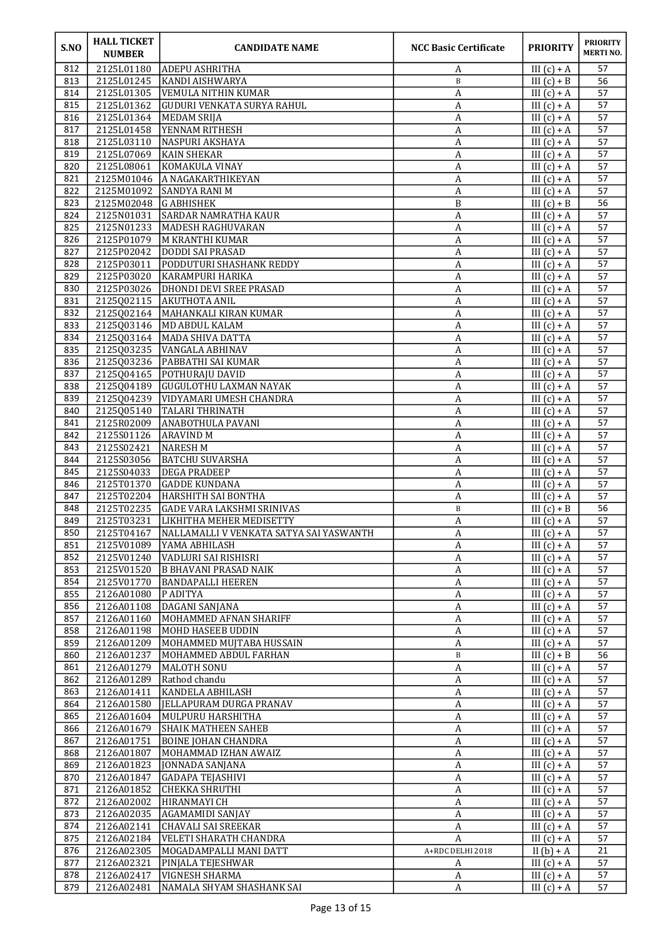| S.NO       | <b>HALL TICKET</b><br><b>NUMBER</b> | <b>CANDIDATE NAME</b>                              | <b>NCC Basic Certificate</b> | <b>PRIORITY</b>                | <b>PRIORITY</b><br><b>MERTINO.</b> |
|------------|-------------------------------------|----------------------------------------------------|------------------------------|--------------------------------|------------------------------------|
| 812        | 2125L01180                          | ADEPU ASHRITHA                                     | A                            | III $(c) + A$                  | 57                                 |
| 813        | 2125L01245                          | KANDI AISHWARYA                                    | $\, {\bf B}$                 | III $(c) + B$                  | 56                                 |
| 814        | 2125L01305                          | VEMULA NITHIN KUMAR                                | A                            | III $(c) + A$                  | 57                                 |
| 815        | 2125L01362                          | GUDURI VENKATA SURYA RAHUL                         | A                            | III $(c) + A$                  | 57                                 |
| 816<br>817 | 2125L01364<br>2125L01458            | MEDAM SRIJA<br>YENNAM RITHESH                      | A<br>A                       | III $(c) + A$<br>III $(c) + A$ | 57<br>57                           |
| 818        | 2125L03110                          | NASPURI AKSHAYA                                    | $\boldsymbol{A}$             | III $(c) + A$                  | 57                                 |
| 819        | 2125L07069                          | KAIN SHEKAR                                        | A                            | III $(c) + A$                  | 57                                 |
| 820        | 2125L08061                          | KOMAKULA VINAY                                     | A                            | III $(c) + A$                  | 57                                 |
| 821        | 2125M01046                          | A NAGAKARTHIKEYAN                                  | А                            | III $(c) + A$                  | 57                                 |
| 822        | 2125M01092                          | SANDYA RANI M                                      | A                            | III $(c) + A$                  | $\overline{57}$                    |
| 823        | 2125M02048                          | <b>G ABHISHEK</b>                                  | B                            | III $(c) + B$                  | 56                                 |
| 824        | 2125N01031                          | <b>SARDAR NAMRATHA KAUR</b>                        | A                            | III $(c) + A$                  | 57                                 |
| 825        | 2125N01233                          | MADESH RAGHUVARAN                                  | A                            | III $(c) + A$                  | 57                                 |
| 826        | 2125P01079                          | M KRANTHI KUMAR                                    | A                            | III $(c) + A$                  | 57                                 |
| 827        | 2125P02042                          | DODDI SAI PRASAD                                   | A                            | III $(c) + A$                  | 57                                 |
| 828<br>829 | 2125P03011<br>2125P03020            | PODDUTURI SHASHANK REDDY<br>KARAMPURI HARIKA       | $\boldsymbol{A}$             | III $(c) + A$                  | 57<br>57                           |
| 830        | 2125P03026                          | DHONDI DEVI SREE PRASAD                            | A<br>A                       | III $(c) + A$<br>III $(c) + A$ | 57                                 |
| 831        | 2125002115                          | <b>AKUTHOTA ANIL</b>                               | A                            | III $(c) + A$                  | 57                                 |
| 832        | 2125Q02164                          | MAHANKALI KIRAN KUMAR                              | A                            | III $(c) + A$                  | 57                                 |
| 833        | 2125Q03146                          | MD ABDUL KALAM                                     | A                            | III $(c) + A$                  | 57                                 |
| 834        | 2125Q03164                          | MADA SHIVA DATTA                                   | A                            | III $(c) + A$                  | 57                                 |
| 835        | 2125Q03235                          | VANGALA ABHINAV                                    | A                            | III $(c) + A$                  | 57                                 |
| 836        | 2125Q03236                          | <b>PABBATHI SAI KUMAR</b>                          | A                            | III $(c) + A$                  | 57                                 |
| 837        | 2125Q04165                          | POTHURAJU DAVID                                    | A                            | III $(c) + A$                  | 57                                 |
| 838        | 2125Q04189                          | <b>GUGULOTHU LAXMAN NAYAK</b>                      | A                            | III $(c) + A$                  | 57                                 |
| 839        | 2125Q04239                          | VIDYAMARI UMESH CHANDRA                            | $\boldsymbol{A}$             | III $(c) + A$                  | $\overline{57}$                    |
| 840        | 2125Q05140                          | TALARI THRINATH                                    | A                            | III $(c) + A$                  | 57                                 |
| 841        | 2125R02009                          | <b>ANABOTHULA PAVANI</b>                           | A                            | III $(c) + A$                  | 57                                 |
| 842<br>843 | 2125S01126<br>2125S02421            | ARAVIND M<br>NARESH M                              | A<br>A                       | III $(c) + A$<br>III $(c) + A$ | 57<br>57                           |
| 844        | 2125S03056                          | <b>BATCHU SUVARSHA</b>                             | $\boldsymbol{A}$             | III $(c) + A$                  | 57                                 |
| 845        | 2125S04033                          | <b>DEGA PRADEEP</b>                                | A                            | III $(c) + A$                  | 57                                 |
| 846        | 2125T01370                          | <b>GADDE KUNDANA</b>                               | A                            | III $(c) + A$                  | 57                                 |
| 847        | 2125T02204                          | <b>HARSHITH SAI BONTHA</b>                         | A                            | III $(c) + A$                  | 57                                 |
| 848        | 2125T02235                          | <b>GADE VARA LAKSHMI SRINIVAS</b>                  | $\, {\bf B}$                 | III $(c) + B$                  | 56                                 |
| 849        | 2125T03231                          | <b>LIKHITHA MEHER MEDISETTY</b>                    | A                            | III $(c) + A$                  | 57                                 |
| 850        |                                     | 2125T04167 NALLAMALLI V VENKATA SATYA SAI YASWANTH | $\boldsymbol{A}$             | III $(c) + A$                  | 57                                 |
| 851        | 2125V01089                          | YAMA ABHILASH                                      | A                            | III $(c) + A$                  | 57                                 |
| 852<br>853 | 2125V01240<br>2125V01520            | VADLURI SAI RISHISRI                               | A                            | III $(c) + A$<br>III $(c) + A$ | 57<br>57                           |
| 854        | 2125V01770                          | <b>B BHAVANI PRASAD NAIK</b><br>BANDAPALLI HEEREN  | A<br>A                       | III $(c) + A$                  | 57                                 |
| 855        | 2126A01080                          | P ADITYA                                           | $\boldsymbol{A}$             | III $(c) + A$                  | 57                                 |
| 856        | 2126A01108                          | DAGANI SANJANA                                     | $\boldsymbol{A}$             | III $(c) + A$                  | 57                                 |
| 857        | 2126A01160                          | MOHAMMED AFNAN SHARIFF                             | $\boldsymbol{A}$             | III $(c) + A$                  | 57                                 |
| 858        | 2126A01198                          | MOHD HASEEB UDDIN                                  | A                            | III $(c) + A$                  | 57                                 |
| 859        | 2126A01209                          | MOHAMMED MUJTABA HUSSAIN                           | A                            | III $(c) + A$                  | 57                                 |
| 860        | 2126A01237                          | MOHAMMED ABDUL FARHAN                              | $\, {\bf B}$                 | III $(c) + B$                  | 56                                 |
| 861        | 2126A01279                          | MALOTH SONU                                        | А                            | III $(c) + A$                  | 57                                 |
| 862        | 2126A01289                          | Rathod chandu                                      | A                            | III $(c) + A$                  | 57                                 |
| 863        | 2126A01411                          | KANDELA ABHILASH                                   | A                            | III $(c) + A$                  | 57                                 |
| 864<br>865 | 2126A01580<br>2126A01604            | JELLAPURAM DURGA PRANAV<br> MULPURU HARSHITHA      | A<br>A                       | III $(c) + A$<br>III $(c) + A$ | 57<br>57                           |
| 866        | 2126A01679                          | <b>SHAIK MATHEEN SAHEB</b>                         | A                            | III $(c) + A$                  | 57                                 |
| 867        | 2126A01751                          | <b>BOINE JOHAN CHANDRA</b>                         | A                            | III $(c) + A$                  | 57                                 |
| 868        | 2126A01807                          | MOHAMMAD IZHAN AWAIZ                               | A                            | III $(c) + A$                  | 57                                 |
| 869        | 2126A01823                          | JONNADA SANJANA                                    | A                            | III $(c) + A$                  | 57                                 |
| 870        | 2126A01847                          | <b>GADAPA TEJASHIVI</b>                            | A                            | III $(c) + A$                  | 57                                 |
| 871        | 2126A01852                          | CHEKKA SHRUTHI                                     | A                            | III $(c) + A$                  | 57                                 |
| 872        | 2126A02002                          | HIRANMAYI CH                                       | A                            | III $(c) + A$                  | 57                                 |
| 873        | 2126A02035                          | AGAMAMIDI SANJAY                                   | A                            | III $(c) + A$                  | 57                                 |
| 874        | 2126A02141                          | <b>CHAVALI SAI SREEKAR</b>                         | A                            | III $(c) + A$                  | 57                                 |
| 875        | 2126A02184                          | VELETI SHARATH CHANDRA                             | A                            | III $(c) + A$                  | 57                                 |
| 876<br>877 | 2126A02305<br>2126A02321            | MOGADAMPALLI MANI DATT<br>PINJALA TEJESHWAR        | A+RDC DELHI 2018<br>A        | II $(b) + A$<br>III $(c) + A$  | 21<br>57                           |
| 878        | 2126A02417                          | <b>VIGNESH SHARMA</b>                              | $\boldsymbol{A}$             | III $(c) + A$                  | 57                                 |
| 879        | 2126A02481                          | NAMALA SHYAM SHASHANK SAI                          | $\boldsymbol{A}$             | III $(c) + A$                  | 57                                 |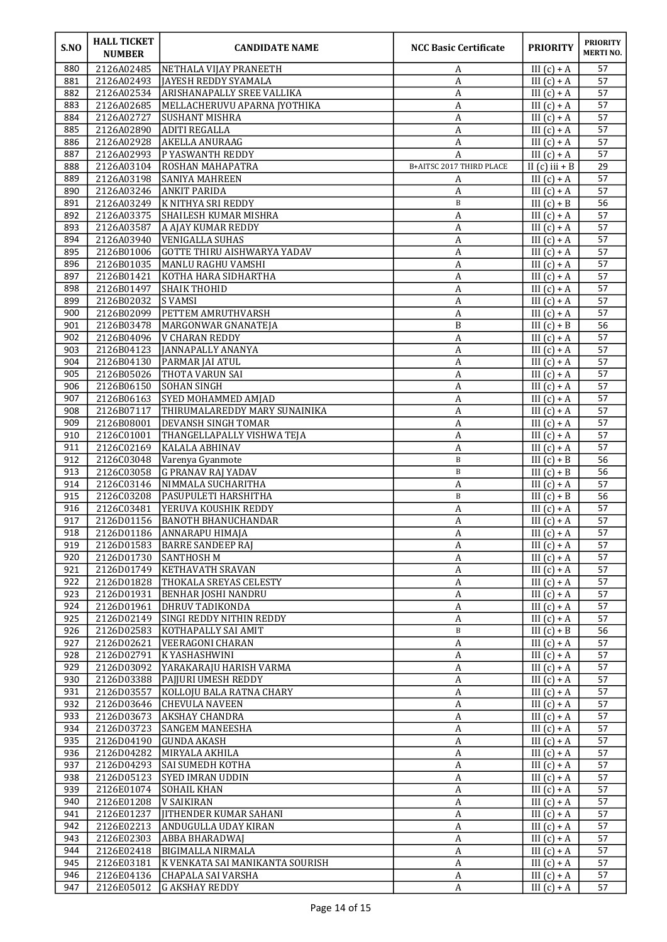| S.NO       | <b>HALL TICKET</b><br><b>NUMBER</b> | <b>CANDIDATE NAME</b>                                       | <b>NCC Basic Certificate</b> | <b>PRIORITY</b>                | <b>PRIORITY</b><br><b>MERTINO.</b> |
|------------|-------------------------------------|-------------------------------------------------------------|------------------------------|--------------------------------|------------------------------------|
| 880        | 2126A02485                          | NETHALA VIJAY PRANEETH                                      | A                            | III $(c) + A$                  | 57                                 |
| 881        | 2126A02493                          | JAYESH REDDY SYAMALA                                        | A                            | III $(c) + A$                  | 57                                 |
| 882        | 2126A02534                          | <b>ARISHANAPALLY SREE VALLIKA</b>                           | A                            | III $(c) + A$                  | 57                                 |
| 883<br>884 | 2126A02685                          | MELLACHERUVU APARNA JYOTHIKA                                | A                            | III $(c) + A$                  | 57<br>57                           |
| 885        | 2126A02727<br>2126A02890            | SUSHANT MISHRA<br>ADITI REGALLA                             | A<br>A                       | III $(c) + A$<br>III $(c) + A$ | 57                                 |
| 886        | 2126A02928                          | <b>AKELLA ANURAAG</b>                                       | A                            | III $(c) + A$                  | 57                                 |
| 887        | 2126A02993                          | P YASWANTH REDDY                                            | A                            | III $(c) + A$                  | 57                                 |
| 888        | 2126A03104                          | ROSHAN MAHAPATRA                                            | B+AITSC 2017 THIRD PLACE     | II $(c)$ iii + B               | 29                                 |
| 889        | 2126A03198                          | <b>SANIYA MAHREEN</b>                                       | A                            | III $(c) + A$                  | 57                                 |
| 890        | 2126A03246                          | ANKIT PARIDA                                                | A                            | III $(c) + A$                  | $\overline{57}$                    |
| 891        | 2126A03249                          | K NITHYA SRI REDDY                                          | $\mathbf B$                  | III $(c) + B$                  | 56                                 |
| 892        | 2126A03375                          | SHAILESH KUMAR MISHRA                                       | A                            | III $(c) + A$                  | 57                                 |
| 893        | 2126A03587                          | A AJAY KUMAR REDDY                                          | A                            | III $(c) + A$                  | 57                                 |
| 894        | 2126A03940                          | VENIGALLA SUHAS                                             | A                            | III $(c) + A$                  | 57                                 |
| 895        | 2126B01006                          | <b>GOTTE THIRU AISHWARYA YADAV</b>                          | $\overline{A}$               | III $(c) + A$                  | 57                                 |
| 896<br>897 | 2126B01035<br>2126B01421            | MANLU RAGHU VAMSHI<br>KOTHA HARA SIDHARTHA                  | $\boldsymbol{A}$<br>A        | III $(c) + A$<br>III $(c) + A$ | 57<br>57                           |
| 898        | 2126B01497                          | SHAIK THOHID                                                | A                            | III $(c) + A$                  | 57                                 |
| 899        | 2126B02032                          | <b>SVAMSI</b>                                               | A                            | III $(c) + A$                  | 57                                 |
| 900        | 2126B02099                          | PETTEM AMRUTHVARSH                                          | A                            | III $(c) + A$                  | 57                                 |
| 901        | 2126B03478                          | MARGONWAR GNANATEJA                                         | B                            | III $(c) + B$                  | $\overline{56}$                    |
| 902        | 2126B04096                          | V CHARAN REDDY                                              | A                            | III $(c) + A$                  | 57                                 |
| 903        | 2126B04123                          | JANNAPALLY ANANYA                                           | A                            | III $(c) + A$                  | 57                                 |
| 904        | 2126B04130                          | PARMAR JAI ATUL                                             | A                            | III $(c) + A$                  | 57                                 |
| 905        | 2126B05026                          | THOTA VARUN SAI                                             | A                            | III $(c) + A$                  | 57                                 |
| 906        | 2126B06150                          | <b>SOHAN SINGH</b>                                          | A                            | III $(c) + A$                  | 57                                 |
| 907        | 2126B06163                          | SYED MOHAMMED AMJAD                                         | $\boldsymbol{A}$             | III $(c) + A$                  | $\overline{57}$                    |
| 908<br>909 | 2126B07117<br>2126B08001            | THIRUMALAREDDY MARY SUNAINIKA<br><b>DEVANSH SINGH TOMAR</b> | A                            | III $(c) + A$                  | 57<br>57                           |
| 910        | 2126C01001                          | THANGELLAPALLY VISHWA TEJA                                  | А<br>A                       | III $(c) + A$<br>III $(c) + A$ | 57                                 |
| 911        | 2126C02169                          | <b>KALALA ABHINAV</b>                                       | A                            | III $(c) + A$                  | 57                                 |
| 912        | 2126C03048                          | Varenya Gyanmote                                            | $\, {\bf B}$                 | III $(c) + B$                  | $\overline{56}$                    |
| 913        | 2126C03058                          | <b>G PRANAV RAJ YADAV</b>                                   | $\, {\bf B}$                 | III $(c) + B$                  | 56                                 |
| 914        | 2126C03146                          | NIMMALA SUCHARITHA                                          | A                            | III $(c) + A$                  | 57                                 |
| 915        | 2126C03208                          | PASUPULETI HARSHITHA                                        | B                            | III $(c) + B$                  | 56                                 |
| 916        | 2126C03481                          | YERUVA KOUSHIK REDDY                                        | A                            | III $(c) + A$                  | 57                                 |
| 917        | 2126D01156                          | <b>BANOTH BHANUCHANDAR</b>                                  | A                            | III $(c) + A$                  | 57                                 |
| 918        |                                     | 2126D01186 ANNARAPU HIMAJA                                  | $\overline{\mathbf{A}}$      | III $(c) + A$                  | 57                                 |
| 919        | 2126D01583                          | <b>BARRE SANDEEP RAJ</b>                                    | A                            | III $(c) + A$                  | 57                                 |
| 920<br>921 | 2126D01730<br>2126D01749            | <b>SANTHOSH M</b><br>KETHAVATH SRAVAN                       | A<br>A                       | III $(c) + A$<br>III $(c) + A$ | 57<br>57                           |
| 922        | 2126D01828                          | <b>THOKALA SREYAS CELESTY</b>                               | A                            | III $(c) + A$                  | 57                                 |
| 923        | 2126D01931                          | <b>BENHAR JOSHI NANDRU</b>                                  | $\boldsymbol{A}$             | III $(c) + A$                  | 57                                 |
| 924        | 2126D01961                          | DHRUV TADIKONDA                                             | $\boldsymbol{A}$             | III $(c) + A$                  | 57                                 |
| 925        | 2126D02149                          | SINGI REDDY NITHIN REDDY                                    | A                            | III $(c) + A$                  | 57                                 |
| 926        | 2126D02583                          | KOTHAPALLY SAI AMIT                                         | B                            | III $(c) + B$                  | 56                                 |
| 927        | 2126D02621                          | VEERAGONI CHARAN                                            | A                            | III $(c) + A$                  | 57                                 |
| 928        | 2126D02791                          | K YASHASHWINI                                               | $\boldsymbol{A}$             | III $(c) + A$                  | 57                                 |
| 929        | 2126D03092                          | YARAKARAJU HARISH VARMA                                     | A                            | III $(c) + A$                  | 57                                 |
| 930<br>931 | 2126D03388<br>2126D03557            | PAJJURI UMESH REDDY<br>KOLLOJU BALA RATNA CHARY             | A                            | III $(c) + A$<br>III $(c) + A$ | 57<br>57                           |
| 932        | 2126D03646                          | CHEVULA NAVEEN                                              | A<br>A                       | III $(c) + A$                  | 57                                 |
| 933        | 2126D03673                          | AKSHAY CHANDRA                                              | A                            | III $(c) + A$                  | 57                                 |
| 934        | 2126D03723                          | <b>SANGEM MANEESHA</b>                                      | $\overline{A}$               | III $(c) + A$                  | 57                                 |
| 935        | 2126D04190                          | GUNDA AKASH                                                 | A                            | III $(c) + A$                  | 57                                 |
| 936        | 2126D04282                          | MIRYALA AKHILA                                              | A                            | III $(c) + A$                  | 57                                 |
| 937        | 2126D04293                          | SAI SUMEDH KOTHA                                            | A                            | III $(c) + A$                  | 57                                 |
| 938        | 2126D05123                          | SYED IMRAN UDDIN                                            | A                            | III $(c) + A$                  | 57                                 |
| 939        | 2126E01074                          | SOHAIL KHAN                                                 | $\boldsymbol{A}$             | III $(c) + A$                  | 57                                 |
| 940        | 2126E01208                          | V SAIKIRAN                                                  | A                            | III $(c) + A$                  | 57                                 |
| 941<br>942 | 2126E01237<br>2126E02213            | JITHENDER KUMAR SAHANI<br>ANDUGULLA UDAY KIRAN              | A                            | III $(c) + A$                  | 57                                 |
| 943        | 2126E02303                          | ABBA BHARADWAJ                                              | A<br>A                       | III $(c) + A$<br>III $(c) + A$ | 57<br>57                           |
| 944        | 2126E02418                          | BIGIMALLA NIRMALA                                           | A                            | III $(c) + A$                  | 57                                 |
| 945        | 2126E03181                          | K VENKATA SAI MANIKANTA SOURISH                             | $\boldsymbol{A}$             | III $(c) + A$                  | 57                                 |
| 946        | 2126E04136                          | <b>CHAPALA SAI VARSHA</b>                                   | A                            | III $(c) + A$                  | 57                                 |
| 947        | 2126E05012                          | G AKSHAY REDDY                                              | A                            | III $(c) + A$                  | 57                                 |